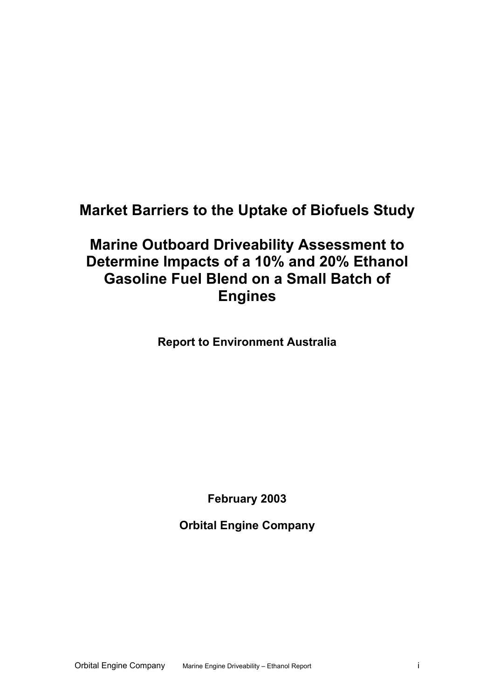## **Market Barriers to the Uptake of Biofuels Study**

## **Marine Outboard Driveability Assessment to Determine Impacts of a 10% and 20% Ethanol Gasoline Fuel Blend on a Small Batch of Engines**

**Report to Environment Australia** 

**February 2003** 

**Orbital Engine Company**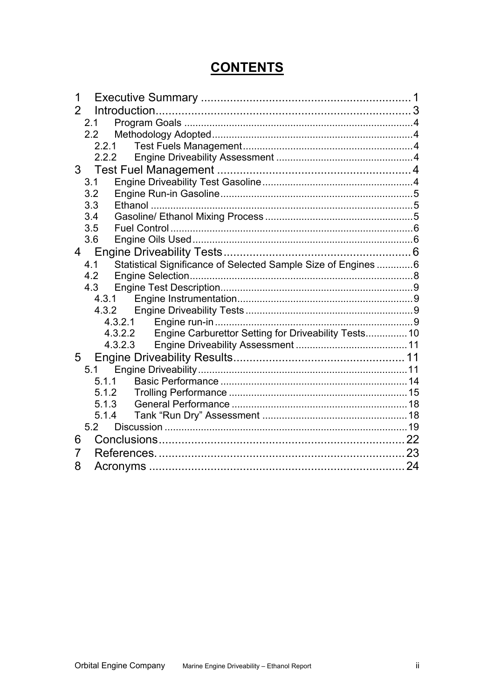## **CONTENTS**

| 1                                                                            |  |
|------------------------------------------------------------------------------|--|
| $\overline{2}$                                                               |  |
| 2.1                                                                          |  |
|                                                                              |  |
| 2.2.1                                                                        |  |
| 2.2.2                                                                        |  |
|                                                                              |  |
| 3.1                                                                          |  |
| 3.2                                                                          |  |
| 3.3                                                                          |  |
| 3.4                                                                          |  |
| 3.5                                                                          |  |
| 3.6                                                                          |  |
|                                                                              |  |
| Statistical Significance of Selected Sample Size of Engines  6<br>4.1<br>4.2 |  |
| 4.3                                                                          |  |
|                                                                              |  |
|                                                                              |  |
| 4.3.2.1                                                                      |  |
| Engine Carburettor Setting for Driveability Tests 10<br>4.3.2.2              |  |
| 4.3.2.3                                                                      |  |
|                                                                              |  |
|                                                                              |  |
| 5.1.1                                                                        |  |
| 5.1.2                                                                        |  |
| 5.1.3                                                                        |  |
| 5.1.4                                                                        |  |
| 5.2                                                                          |  |
| 6                                                                            |  |
| 7                                                                            |  |
| 8                                                                            |  |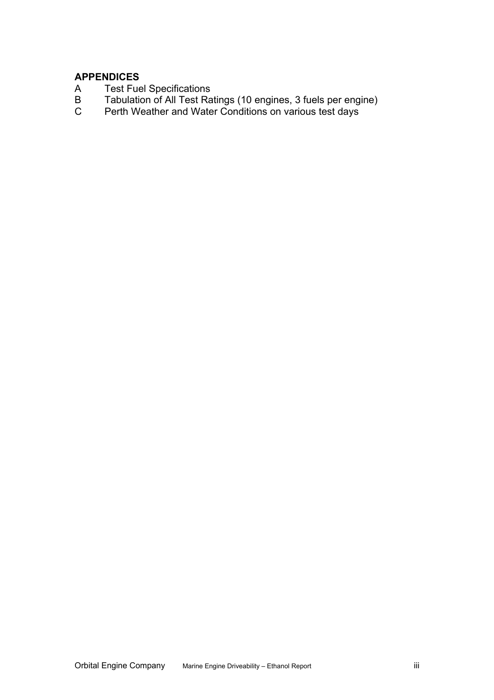#### **APPENDICES**

- A Test Fuel Specifications<br>B Tabulation of All Test Ra
- B Tabulation of All Test Ratings (10 engines, 3 fuels per engine)
- C Perth Weather and Water Conditions on various test days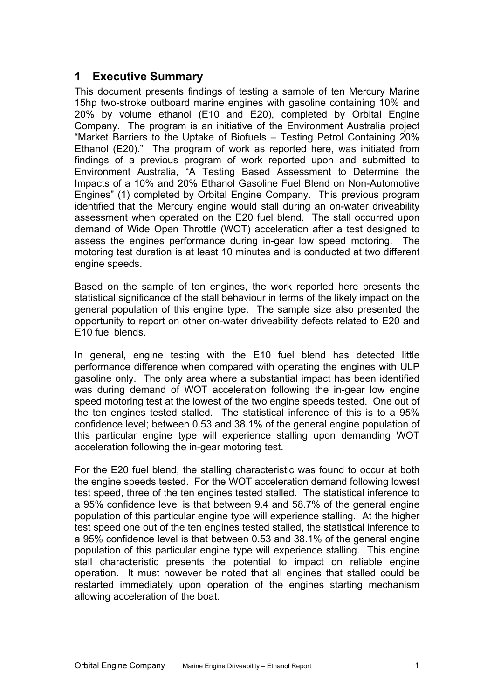## <span id="page-3-0"></span>**1 Executive Summary**

This document presents findings of testing a sample of ten Mercury Marine 15hp two-stroke outboard marine engines with gasoline containing 10% and 20% by volume ethanol (E10 and E20), completed by Orbital Engine Company. The program is an initiative of the Environment Australia project "Market Barriers to the Uptake of Biofuels – Testing Petrol Containing 20% Ethanol (E20)." The program of work as reported here, was initiated from findings of a previous program of work reported upon and submitted to Environment Australia, "A Testing Based Assessment to Determine the Impacts of a 10% and 20% Ethanol Gasoline Fuel Blend on Non-Automotive Engines" ([1\)](#page-25-1) completed by Orbital Engine Company. This previous program identified that the Mercury engine would stall during an on-water driveability assessment when operated on the E20 fuel blend. The stall occurred upon demand of Wide Open Throttle (WOT) acceleration after a test designed to assess the engines performance during in-gear low speed motoring. The motoring test duration is at least 10 minutes and is conducted at two different engine speeds.

Based on the sample of ten engines, the work reported here presents the statistical significance of the stall behaviour in terms of the likely impact on the general population of this engine type. The sample size also presented the opportunity to report on other on-water driveability defects related to E20 and E10 fuel blends.

In general, engine testing with the E10 fuel blend has detected little performance difference when compared with operating the engines with ULP gasoline only. The only area where a substantial impact has been identified was during demand of WOT acceleration following the in-gear low engine speed motoring test at the lowest of the two engine speeds tested. One out of the ten engines tested stalled. The statistical inference of this is to a 95% confidence level; between 0.53 and 38.1% of the general engine population of this particular engine type will experience stalling upon demanding WOT acceleration following the in-gear motoring test.

For the E20 fuel blend, the stalling characteristic was found to occur at both the engine speeds tested. For the WOT acceleration demand following lowest test speed, three of the ten engines tested stalled. The statistical inference to a 95% confidence level is that between 9.4 and 58.7% of the general engine population of this particular engine type will experience stalling. At the higher test speed one out of the ten engines tested stalled, the statistical inference to a 95% confidence level is that between 0.53 and 38.1% of the general engine population of this particular engine type will experience stalling. This engine stall characteristic presents the potential to impact on reliable engine operation. It must however be noted that all engines that stalled could be restarted immediately upon operation of the engines starting mechanism allowing acceleration of the boat.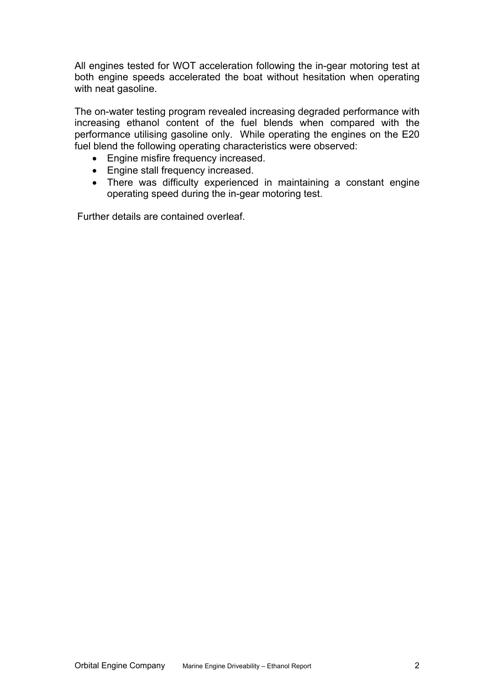All engines tested for WOT acceleration following the in-gear motoring test at both engine speeds accelerated the boat without hesitation when operating with neat gasoline.

The on-water testing program revealed increasing degraded performance with increasing ethanol content of the fuel blends when compared with the performance utilising gasoline only. While operating the engines on the E20 fuel blend the following operating characteristics were observed:

- Engine misfire frequency increased.
- Engine stall frequency increased.
- There was difficulty experienced in maintaining a constant engine operating speed during the in-gear motoring test.

Further details are contained overleaf.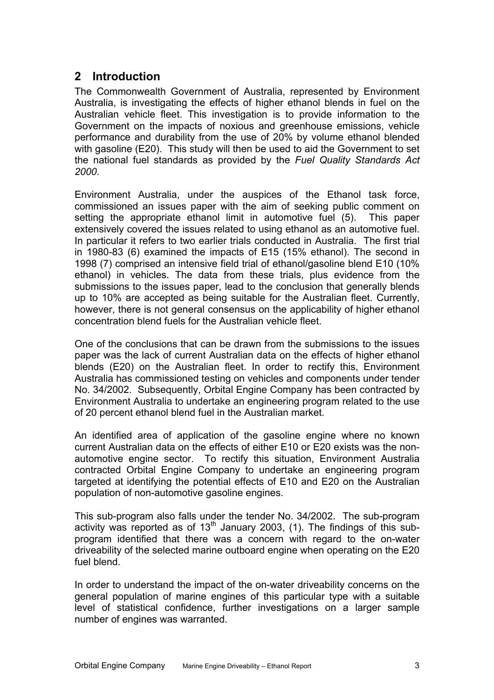## <span id="page-5-0"></span>**2 Introduction**

The Commonwealth Government of Australia, represented by Environment Australia, is investigating the effects of higher ethanol blends in fuel on the Australian vehicle fleet. This investigation is to provide information to the Government on the impacts of noxious and greenhouse emissions, vehicle performance and durability from the use of 20% by volume ethanol blended with gasoline (E20). This study will then be used to aid the Government to set the national fuel standards as provided by the *Fuel Quality Standards Act 2000*.

Environment Australia, under the auspices of the Ethanol task force, commissioned an issues paper with the aim of seeking public comment on setting the appropriate ethanol limit in automotive fuel [\(5\)](#page-25-2). This paper extensively covered the issues related to using ethanol as an automotive fuel. In particular it refers to two earlier trials conducted in Australia. The first trial in 1980-83 [\(6\)](#page-25-3) examined the impacts of E15 (15% ethanol). The second in 1998 [\(7](#page-25-4)) comprised an intensive field trial of ethanol/gasoline blend E10 (10% ethanol) in vehicles. The data from these trials, plus evidence from the submissions to the issues paper, lead to the conclusion that generally blends up to 10% are accepted as being suitable for the Australian fleet. Currently, however, there is not general consensus on the applicability of higher ethanol concentration blend fuels for the Australian vehicle fleet.

One of the conclusions that can be drawn from the submissions to the issues paper was the lack of current Australian data on the effects of higher ethanol blends (E20) on the Australian fleet. In order to rectify this, Environment Australia has commissioned testing on vehicles and components under tender No. 34/2002. Subsequently, Orbital Engine Company has been contracted by Environment Australia to undertake an engineering program related to the use of 20 percent ethanol blend fuel in the Australian market.

An identified area of application of the gasoline engine where no known current Australian data on the effects of either E10 or E20 exists was the nonautomotive engine sector. To rectify this situation, Environment Australia contracted Orbital Engine Company to undertake an engineering program targeted at identifying the potential effects of E10 and E20 on the Australian population of non-automotive gasoline engines.

This sub-program also falls under the tender No. 34/2002. The sub-program activity was reported as of  $13<sup>th</sup>$  January 2003, [\(1\)](#page-25-1). The findings of this subprogram identified that there was a concern with regard to the on-water driveability of the selected marine outboard engine when operating on the E20 fuel blend.

In order to understand the impact of the on-water driveability concerns on the general population of marine engines of this particular type with a suitable level of statistical confidence, further investigations on a larger sample number of engines was warranted.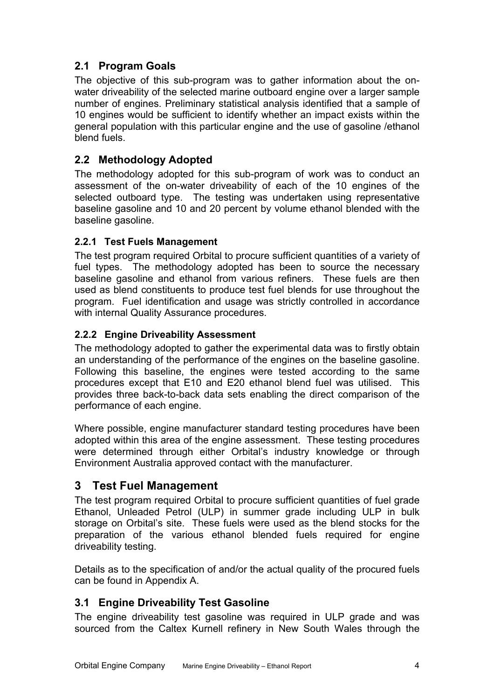## <span id="page-6-0"></span>**2.1 Program Goals**

The objective of this sub-program was to gather information about the onwater driveability of the selected marine outboard engine over a larger sample number of engines. Preliminary statistical analysis identified that a sample of 10 engines would be sufficient to identify whether an impact exists within the general population with this particular engine and the use of gasoline /ethanol blend fuels.

## **2.2 Methodology Adopted**

The methodology adopted for this sub-program of work was to conduct an assessment of the on-water driveability of each of the 10 engines of the selected outboard type. The testing was undertaken using representative baseline gasoline and 10 and 20 percent by volume ethanol blended with the baseline gasoline.

#### **2.2.1 Test Fuels Management**

The test program required Orbital to procure sufficient quantities of a variety of fuel types. The methodology adopted has been to source the necessary baseline gasoline and ethanol from various refiners. These fuels are then used as blend constituents to produce test fuel blends for use throughout the program. Fuel identification and usage was strictly controlled in accordance with internal Quality Assurance procedures.

#### **2.2.2 Engine Driveability Assessment**

The methodology adopted to gather the experimental data was to firstly obtain an understanding of the performance of the engines on the baseline gasoline. Following this baseline, the engines were tested according to the same procedures except that E10 and E20 ethanol blend fuel was utilised. This provides three back-to-back data sets enabling the direct comparison of the performance of each engine.

Where possible, engine manufacturer standard testing procedures have been adopted within this area of the engine assessment. These testing procedures were determined through either Orbital's industry knowledge or through Environment Australia approved contact with the manufacturer.

## **3 Test Fuel Management**

The test program required Orbital to procure sufficient quantities of fuel grade Ethanol, Unleaded Petrol (ULP) in summer grade including ULP in bulk storage on Orbital's site. These fuels were used as the blend stocks for the preparation of the various ethanol blended fuels required for engine driveability testing.

Details as to the specification of and/or the actual quality of the procured fuels can be found in Appendix A.

### **3.1 Engine Driveability Test Gasoline**

The engine driveability test gasoline was required in ULP grade and was sourced from the Caltex Kurnell refinery in New South Wales through the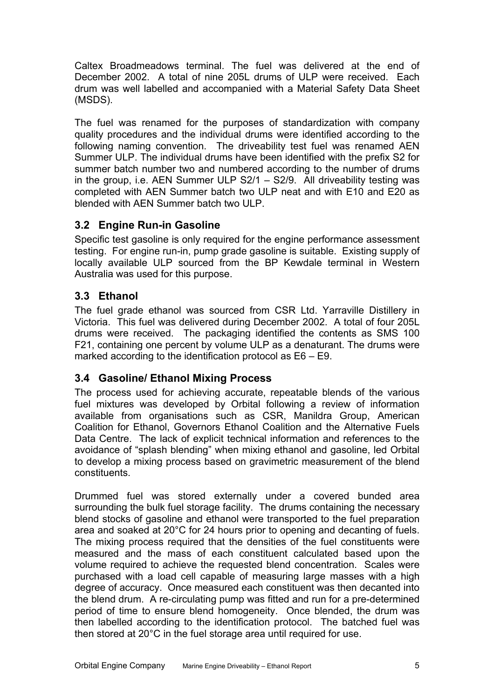<span id="page-7-0"></span>Caltex Broadmeadows terminal. The fuel was delivered at the end of December 2002. A total of nine 205L drums of ULP were received. Each drum was well labelled and accompanied with a Material Safety Data Sheet (MSDS).

The fuel was renamed for the purposes of standardization with company quality procedures and the individual drums were identified according to the following naming convention. The driveability test fuel was renamed AEN Summer ULP. The individual drums have been identified with the prefix S2 for summer batch number two and numbered according to the number of drums in the group, i.e. AEN Summer ULP S2/1 – S2/9. All driveability testing was completed with AEN Summer batch two ULP neat and with E10 and E20 as blended with AEN Summer batch two ULP.

## <span id="page-7-1"></span>**3.2 Engine Run-in Gasoline**

Specific test gasoline is only required for the engine performance assessment testing. For engine run-in, pump grade gasoline is suitable. Existing supply of locally available ULP sourced from the BP Kewdale terminal in Western Australia was used for this purpose.

### **3.3 Ethanol**

The fuel grade ethanol was sourced from CSR Ltd. Yarraville Distillery in Victoria. This fuel was delivered during December 2002. A total of four 205L drums were received. The packaging identified the contents as SMS 100 F21, containing one percent by volume ULP as a denaturant. The drums were marked according to the identification protocol as E6 – E9.

### **3.4 Gasoline/ Ethanol Mixing Process**

The process used for achieving accurate, repeatable blends of the various fuel mixtures was developed by Orbital following a review of information available from organisations such as CSR, Manildra Group, American Coalition for Ethanol, Governors Ethanol Coalition and the Alternative Fuels Data Centre. The lack of explicit technical information and references to the avoidance of "splash blending" when mixing ethanol and gasoline, led Orbital to develop a mixing process based on gravimetric measurement of the blend constituents.

Drummed fuel was stored externally under a covered bunded area surrounding the bulk fuel storage facility. The drums containing the necessary blend stocks of gasoline and ethanol were transported to the fuel preparation area and soaked at 20°C for 24 hours prior to opening and decanting of fuels. The mixing process required that the densities of the fuel constituents were measured and the mass of each constituent calculated based upon the volume required to achieve the requested blend concentration. Scales were purchased with a load cell capable of measuring large masses with a high degree of accuracy. Once measured each constituent was then decanted into the blend drum. A re-circulating pump was fitted and run for a pre-determined period of time to ensure blend homogeneity. Once blended, the drum was then labelled according to the identification protocol. The batched fuel was then stored at 20°C in the fuel storage area until required for use.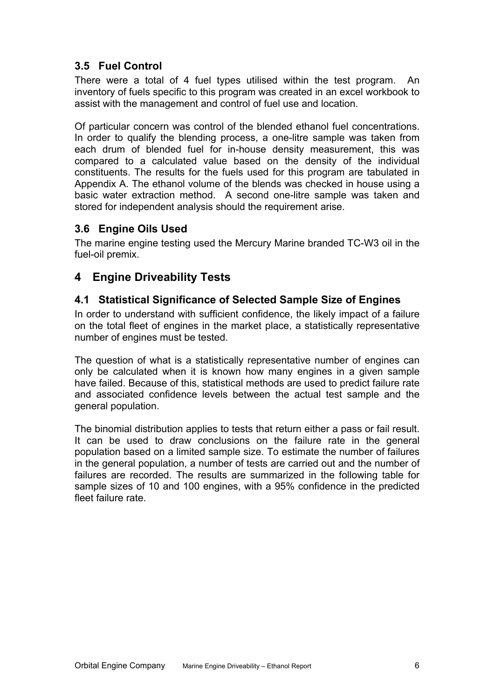## <span id="page-8-0"></span>**3.5 Fuel Control**

There were a total of 4 fuel types utilised within the test program. An inventory of fuels specific to this program was created in an excel workbook to assist with the management and control of fuel use and location.

Of particular concern was control of the blended ethanol fuel concentrations. In order to qualify the blending process, a one-litre sample was taken from each drum of blended fuel for in-house density measurement, this was compared to a calculated value based on the density of the individual constituents. The results for the fuels used for this program are tabulated in Appendix A. The ethanol volume of the blends was checked in house using a basic water extraction method. A second one-litre sample was taken and stored for independent analysis should the requirement arise.

#### **3.6 Engine Oils Used**

The marine engine testing used the Mercury Marine branded TC-W3 oil in the fuel-oil premix.

## **4 Engine Driveability Tests**

#### **4.1 Statistical Significance of Selected Sample Size of Engines**

In order to understand with sufficient confidence, the likely impact of a failure on the total fleet of engines in the market place, a statistically representative number of engines must be tested.

The question of what is a statistically representative number of engines can only be calculated when it is known how many engines in a given sample have failed. Because of this, statistical methods are used to predict failure rate and associated confidence levels between the actual test sample and the general population.

The binomial distribution applies to tests that return either a pass or fail result. It can be used to draw conclusions on the failure rate in the general population based on a limited sample size. To estimate the number of failures in the general population, a number of tests are carried out and the number of failures are recorded. The results are summarized in the following table for sample sizes of 10 and 100 engines, with a 95% confidence in the predicted fleet failure rate.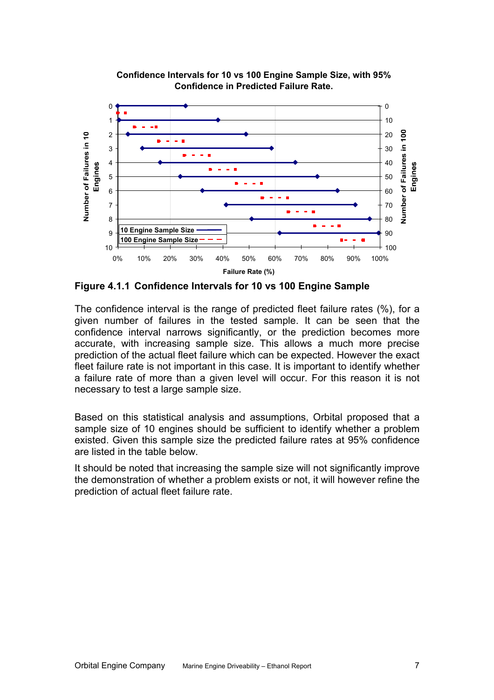

**Confidence Intervals for 10 vs 100 Engine Sample Size, with 95% Confidence in Predicted Failure Rate.**

**Figure 4.1.1 Confidence Intervals for 10 vs 100 Engine Sample** 

The confidence interval is the range of predicted fleet failure rates (%), for a given number of failures in the tested sample. It can be seen that the confidence interval narrows significantly, or the prediction becomes more accurate, with increasing sample size. This allows a much more precise prediction of the actual fleet failure which can be expected. However the exact fleet failure rate is not important in this case. It is important to identify whether a failure rate of more than a given level will occur. For this reason it is not necessary to test a large sample size.

Based on this statistical analysis and assumptions, Orbital proposed that a sample size of 10 engines should be sufficient to identify whether a problem existed. Given this sample size the predicted failure rates at 95% confidence are listed in the table below.

It should be noted that increasing the sample size will not significantly improve the demonstration of whether a problem exists or not, it will however refine the prediction of actual fleet failure rate.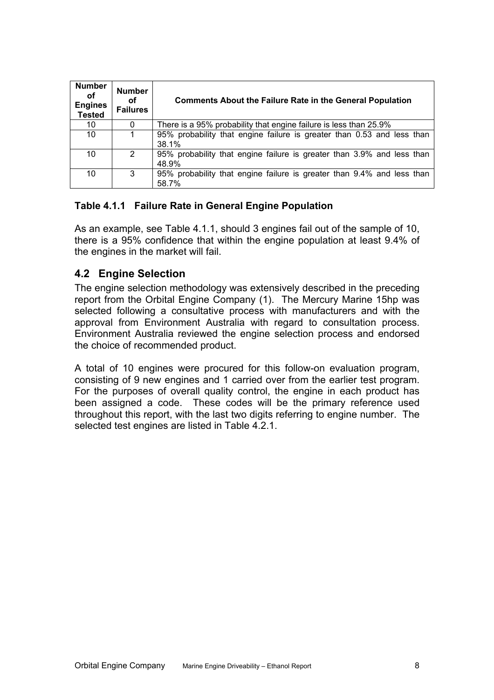<span id="page-10-0"></span>

| <b>Number</b><br>οf<br><b>Engines</b><br><b>Tested</b> | <b>Number</b><br>οf<br><b>Failures</b> | <b>Comments About the Failure Rate in the General Population</b>                |
|--------------------------------------------------------|----------------------------------------|---------------------------------------------------------------------------------|
| 10                                                     | 0                                      | There is a 95% probability that engine failure is less than 25.9%               |
| 10                                                     | 1                                      | 95% probability that engine failure is greater than 0.53 and less than<br>38.1% |
| 10                                                     | 2                                      | 95% probability that engine failure is greater than 3.9% and less than<br>48.9% |
| 10                                                     | 3                                      | 95% probability that engine failure is greater than 9.4% and less than<br>58.7% |

#### <span id="page-10-1"></span>**Table 4.1.1 Failure Rate in General Engine Population**

As an example, see [Table 4.1.1](#page-10-1), should 3 engines fail out of the sample of 10, there is a 95% confidence that within the engine population at least 9.4% of the engines in the market will fail.

#### **4.2 Engine Selection**

The engine selection methodology was extensively described in the preceding report from the Orbital Engine Company [\(1](#page-25-1)). The Mercury Marine 15hp was selected following a consultative process with manufacturers and with the approval from Environment Australia with regard to consultation process. Environment Australia reviewed the engine selection process and endorsed the choice of recommended product.

A total of 10 engines were procured for this follow-on evaluation program, consisting of 9 new engines and 1 carried over from the earlier test program. For the purposes of overall quality control, the engine in each product has been assigned a code. These codes will be the primary reference used throughout this report, with the last two digits referring to engine number. The selected test engines are listed in [Table 4.2.1.](#page-11-1)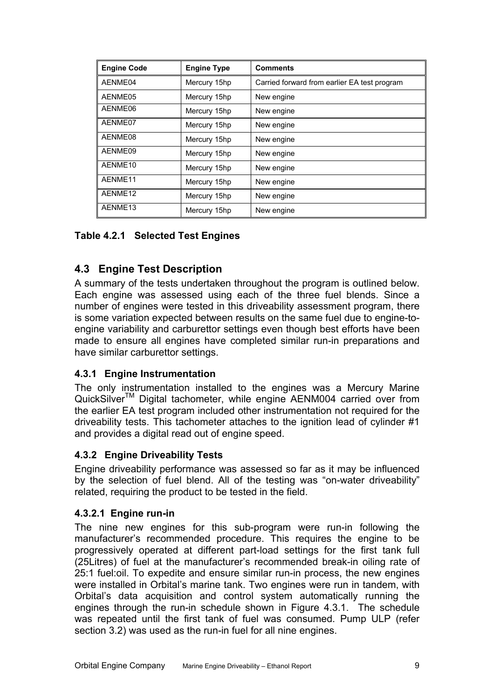<span id="page-11-0"></span>

| <b>Engine Code</b> | <b>Engine Type</b> | <b>Comments</b>                              |
|--------------------|--------------------|----------------------------------------------|
| AENME04            | Mercury 15hp       | Carried forward from earlier EA test program |
| AENME05            | Mercury 15hp       | New engine                                   |
| AENME06            | Mercury 15hp       | New engine                                   |
| AENME07            | Mercury 15hp       | New engine                                   |
| AENME08            | Mercury 15hp       | New engine                                   |
| AENME09            | Mercury 15hp       | New engine                                   |
| AENME10            | Mercury 15hp       | New engine                                   |
| AENME11            | Mercury 15hp       | New engine                                   |
| AENME12            | Mercury 15hp       | New engine                                   |
| AENME13            | Mercury 15hp       | New engine                                   |

<span id="page-11-1"></span>**Table 4.2.1 Selected Test Engines** 

## **4.3 Engine Test Description**

A summary of the tests undertaken throughout the program is outlined below. Each engine was assessed using each of the three fuel blends. Since a number of engines were tested in this driveability assessment program, there is some variation expected between results on the same fuel due to engine-toengine variability and carburettor settings even though best efforts have been made to ensure all engines have completed similar run-in preparations and have similar carburettor settings.

### **4.3.1 Engine Instrumentation**

The only instrumentation installed to the engines was a Mercury Marine QuickSilver™ Digital tachometer, while engine AENM004 carried over from the earlier EA test program included other instrumentation not required for the driveability tests. This tachometer attaches to the ignition lead of cylinder #1 and provides a digital read out of engine speed.

### **4.3.2 Engine Driveability Tests**

Engine driveability performance was assessed so far as it may be influenced by the selection of fuel blend. All of the testing was "on-water driveability" related, requiring the product to be tested in the field.

#### **4.3.2.1 Engine run-in**

The nine new engines for this sub-program were run-in following the manufacturer's recommended procedure. This requires the engine to be progressively operated at different part-load settings for the first tank full (25Litres) of fuel at the manufacturer's recommended break-in oiling rate of 25:1 fuel:oil. To expedite and ensure similar run-in process, the new engines were installed in Orbital's marine tank. Two engines were run in tandem, with Orbital's data acquisition and control system automatically running the engines through the run-in schedule shown in [Figure 4.3.1.](#page-12-1) The schedule was repeated until the first tank of fuel was consumed. Pump ULP (refer section [3.2\)](#page-7-1) was used as the run-in fuel for all nine engines.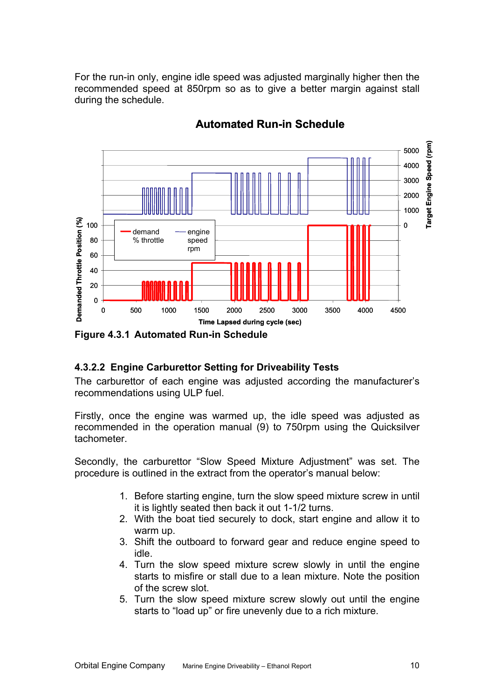<span id="page-12-0"></span>For the run-in only, engine idle speed was adjusted marginally higher then the recommended speed at 850rpm so as to give a better margin against stall during the schedule.



## **Automated Run-in Schedule**

#### <span id="page-12-1"></span>**4.3.2.2 Engine Carburettor Setting for Driveability Tests**

The carburettor of each engine was adjusted according the manufacturer's recommendations using ULP fuel.

Firstly, once the engine was warmed up, the idle speed was adjusted as recommended in the operation manual [\(9\)](#page-25-5) to 750rpm using the Quicksilver tachometer.

Secondly, the carburettor "Slow Speed Mixture Adjustment" was set. The procedure is outlined in the extract from the operator's manual below:

- 1. Before starting engine, turn the slow speed mixture screw in until it is lightly seated then back it out 1-1/2 turns.
- 2. With the boat tied securely to dock, start engine and allow it to warm up.
- 3. Shift the outboard to forward gear and reduce engine speed to idle.
- 4. Turn the slow speed mixture screw slowly in until the engine starts to misfire or stall due to a lean mixture. Note the position of the screw slot.
- 5. Turn the slow speed mixture screw slowly out until the engine starts to "load up" or fire unevenly due to a rich mixture.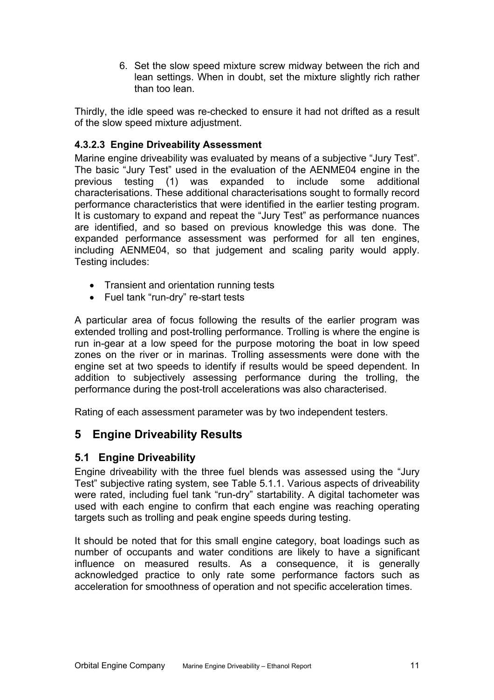6. Set the slow speed mixture screw midway between the rich and lean settings. When in doubt, set the mixture slightly rich rather than too lean.

<span id="page-13-0"></span>Thirdly, the idle speed was re-checked to ensure it had not drifted as a result of the slow speed mixture adjustment.

#### **4.3.2.3 Engine Driveability Assessment**

Marine engine driveability was evaluated by means of a subjective "Jury Test". The basic "Jury Test" used in the evaluation of the AENME04 engine in the previous testing ([1\)](#page-25-1) was expanded to include some additional characterisations. These additional characterisations sought to formally record performance characteristics that were identified in the earlier testing program. It is customary to expand and repeat the "Jury Test" as performance nuances are identified, and so based on previous knowledge this was done. The expanded performance assessment was performed for all ten engines, including AENME04, so that judgement and scaling parity would apply. Testing includes:

- Transient and orientation running tests
- Fuel tank "run-dry" re-start tests

A particular area of focus following the results of the earlier program was extended trolling and post-trolling performance. Trolling is where the engine is run in-gear at a low speed for the purpose motoring the boat in low speed zones on the river or in marinas. Trolling assessments were done with the engine set at two speeds to identify if results would be speed dependent. In addition to subjectively assessing performance during the trolling, the performance during the post-troll accelerations was also characterised.

Rating of each assessment parameter was by two independent testers.

## **5 Engine Driveability Results**

#### **5.1 Engine Driveability**

Engine driveability with the three fuel blends was assessed using the "Jury Test" subjective rating system, see [Table 5.1.1](#page-14-0). Various aspects of driveability were rated, including fuel tank "run-dry" startability. A digital tachometer was used with each engine to confirm that each engine was reaching operating targets such as trolling and peak engine speeds during testing.

It should be noted that for this small engine category, boat loadings such as number of occupants and water conditions are likely to have a significant influence on measured results. As a consequence, it is generally acknowledged practice to only rate some performance factors such as acceleration for smoothness of operation and not specific acceleration times.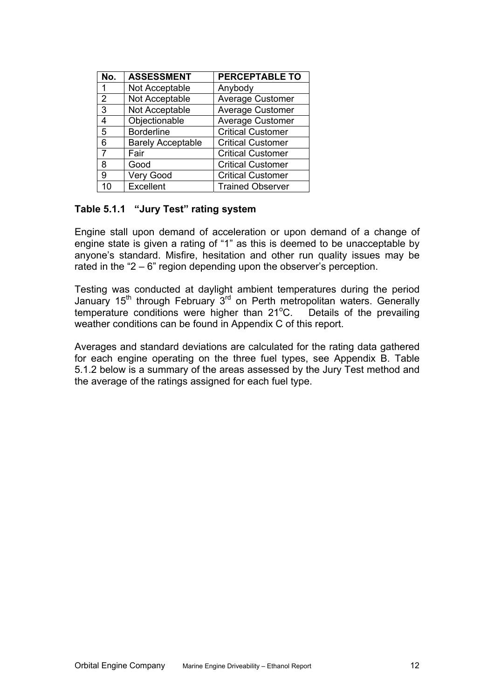| No. | <b>ASSESSMENT</b>        | <b>PERCEPTABLE TO</b>    |
|-----|--------------------------|--------------------------|
| 1   | Not Acceptable           | Anybody                  |
| 2   | Not Acceptable           | <b>Average Customer</b>  |
| 3   | Not Acceptable           | <b>Average Customer</b>  |
| 4   | Objectionable            | Average Customer         |
| 5   | <b>Borderline</b>        | <b>Critical Customer</b> |
| 6   | <b>Barely Acceptable</b> | <b>Critical Customer</b> |
| 7   | Fair                     | <b>Critical Customer</b> |
| 8   | Good                     | <b>Critical Customer</b> |
| 9   | Very Good                | <b>Critical Customer</b> |
| 10  | Excellent                | <b>Trained Observer</b>  |

#### <span id="page-14-0"></span>**Table 5.1.1 "Jury Test" rating system**

Engine stall upon demand of acceleration or upon demand of a change of engine state is given a rating of "1" as this is deemed to be unacceptable by anyone's standard. Misfire, hesitation and other run quality issues may be rated in the "2 – 6" region depending upon the observer's perception.

Testing was conducted at daylight ambient temperatures during the period January  $15<sup>th</sup>$  through February  $3<sup>rd</sup>$  on Perth metropolitan waters. Generally temperature conditions were higher than 21°C. Details of the prevailing weather conditions can be found in Appendix C of this report.

Averages and standard deviations are calculated for the rating data gathered for each engine operating on the three fuel types, see Appendix B. [Table](#page-15-0)  [5.1.2](#page-15-0) below is a summary of the areas assessed by the Jury Test method and the average of the ratings assigned for each fuel type.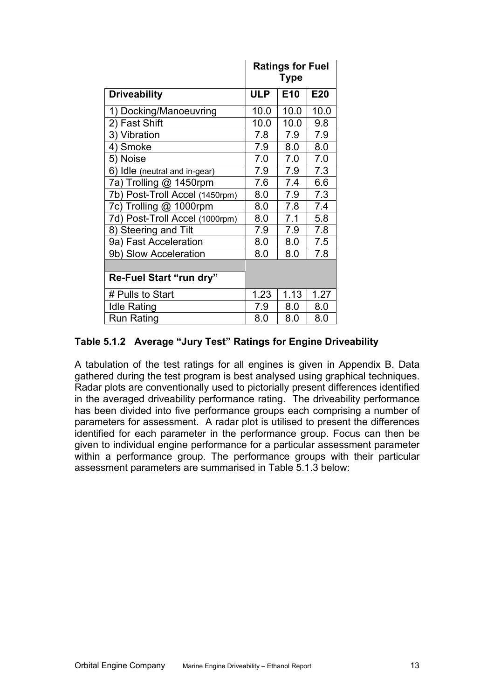|                                |            | <b>Ratings for Fuel</b><br><b>Type</b> |      |
|--------------------------------|------------|----------------------------------------|------|
| <b>Driveability</b>            | <b>ULP</b> | E <sub>10</sub>                        | E20  |
| Docking/Manoeuvring<br>1)      | 10.0       | 10.0                                   | 10.0 |
| 2) Fast Shift                  | 10.0       | 10.0                                   | 9.8  |
| 3) Vibration                   | 7.8        | 7.9                                    | 7.9  |
| Smoke<br>4)                    | 7.9        | 8.0                                    | 8.0  |
| 5) Noise                       | 7.0        | 7.0                                    | 7.0  |
| 6) Idle (neutral and in-gear)  | 7.9        | 7.9                                    | 7.3  |
| 7a) Trolling @ 1450rpm         | 7.6        | 7.4                                    | 6.6  |
| 7b) Post-Troll Accel (1450rpm) | 8.0        | 7.9                                    | 7.3  |
| 7c) Trolling @ 1000rpm         | 8.0        | 7.8                                    | 7.4  |
| 7d) Post-Troll Accel (1000rpm) | 8.0        | 7.1                                    | 5.8  |
| 8) Steering and Tilt           | 7.9        | 7.9                                    | 7.8  |
| 9a) Fast Acceleration          | 8.0        | 8.0                                    | 7.5  |
| 9b) Slow Acceleration          | 8.0        | 8.0                                    | 7.8  |
|                                |            |                                        |      |
| Re-Fuel Start "run dry"        |            |                                        |      |
| # Pulls to Start               | 1.23       | 1.13                                   | 1.27 |
| <b>Idle Rating</b>             | 7.9        | 8.0                                    | 8.0  |
| <b>Run Rating</b>              | 8.0        | 8.0                                    | 8.0  |

#### <span id="page-15-0"></span>**Table 5.1.2 Average "Jury Test" Ratings for Engine Driveability**

A tabulation of the test ratings for all engines is given in Appendix B. Data gathered during the test program is best analysed using graphical techniques. Radar plots are conventionally used to pictorially present differences identified in the averaged driveability performance rating. The driveability performance has been divided into five performance groups each comprising a number of parameters for assessment. A radar plot is utilised to present the differences identified for each parameter in the performance group. Focus can then be given to individual engine performance for a particular assessment parameter within a performance group. The performance groups with their particular assessment parameters are summarised in [Table 5.1.3](#page-16-1) below: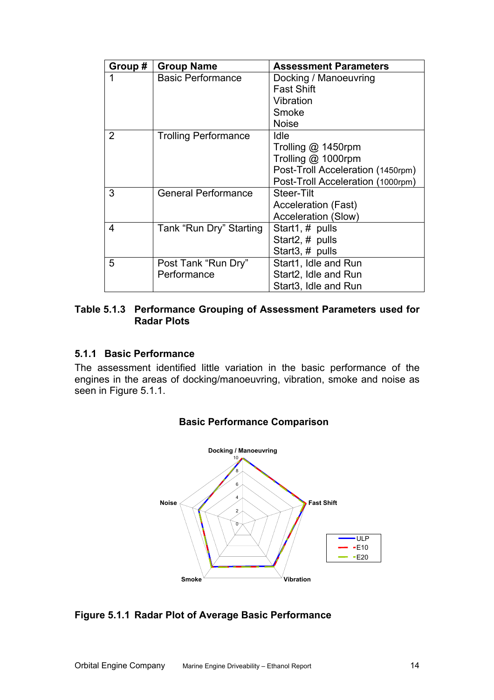<span id="page-16-0"></span>

| Group # | <b>Group Name</b>           | <b>Assessment Parameters</b>      |
|---------|-----------------------------|-----------------------------------|
|         | <b>Basic Performance</b>    | Docking / Manoeuvring             |
|         |                             | <b>Fast Shift</b>                 |
|         |                             | Vibration                         |
|         |                             | Smoke                             |
|         |                             | <b>Noise</b>                      |
| 2       | <b>Trolling Performance</b> | Idle                              |
|         |                             | Trolling @ 1450rpm                |
|         |                             | Trolling @ 1000rpm                |
|         |                             | Post-Troll Acceleration (1450rpm) |
|         |                             | Post-Troll Acceleration (1000rpm) |
| 3       | <b>General Performance</b>  | Steer-Tilt                        |
|         |                             | <b>Acceleration (Fast)</b>        |
|         |                             | <b>Acceleration (Slow)</b>        |
| 4       | Tank "Run Dry" Starting     | Start1, # pulls                   |
|         |                             | Start2, # pulls                   |
|         |                             | Start3, # pulls                   |
| 5       | Post Tank "Run Dry"         | Start1, Idle and Run              |
|         | Performance                 | Start2, Idle and Run              |
|         |                             | Start <sub>3</sub> , Idle and Run |

#### <span id="page-16-1"></span>**Table 5.1.3 Performance Grouping of Assessment Parameters used for Radar Plots**

#### **5.1.1 Basic Performance**

The assessment identified little variation in the basic performance of the engines in the areas of docking/manoeuvring, vibration, smoke and noise as seen in [Figure 5.1.1](#page-16-2).



#### **Basic Performance Comparison**

#### <span id="page-16-2"></span>**Figure 5.1.1 Radar Plot of Average Basic Performance**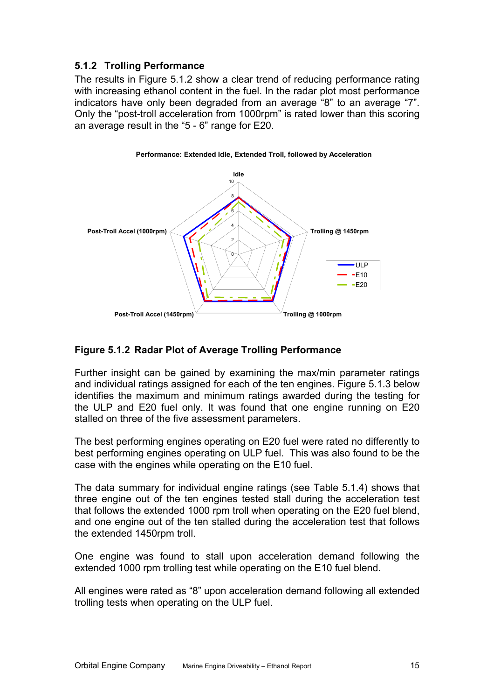#### <span id="page-17-0"></span>**5.1.2 Trolling Performance**

The results in [Figure 5.1.2](#page-17-1) show a clear trend of reducing performance rating with increasing ethanol content in the fuel. In the radar plot most performance indicators have only been degraded from an average "8" to an average "7". Only the "post-troll acceleration from 1000rpm" is rated lower than this scoring an average result in the "5 - 6" range for E20.



#### <span id="page-17-1"></span>**Figure 5.1.2 Radar Plot of Average Trolling Performance**

Further insight can be gained by examining the max/min parameter ratings and individual ratings assigned for each of the ten engines. [Figure 5.1.3](#page-18-0) below identifies the maximum and minimum ratings awarded during the testing for the ULP and E20 fuel only. It was found that one engine running on E20 stalled on three of the five assessment parameters.

The best performing engines operating on E20 fuel were rated no differently to best performing engines operating on ULP fuel. This was also found to be the case with the engines while operating on the E10 fuel.

The data summary for individual engine ratings (see [Table 5.1.4\)](#page-19-0) shows that three engine out of the ten engines tested stall during the acceleration test that follows the extended 1000 rpm troll when operating on the E20 fuel blend, and one engine out of the ten stalled during the acceleration test that follows the extended 1450rpm troll.

One engine was found to stall upon acceleration demand following the extended 1000 rpm trolling test while operating on the E10 fuel blend.

All engines were rated as "8" upon acceleration demand following all extended trolling tests when operating on the ULP fuel.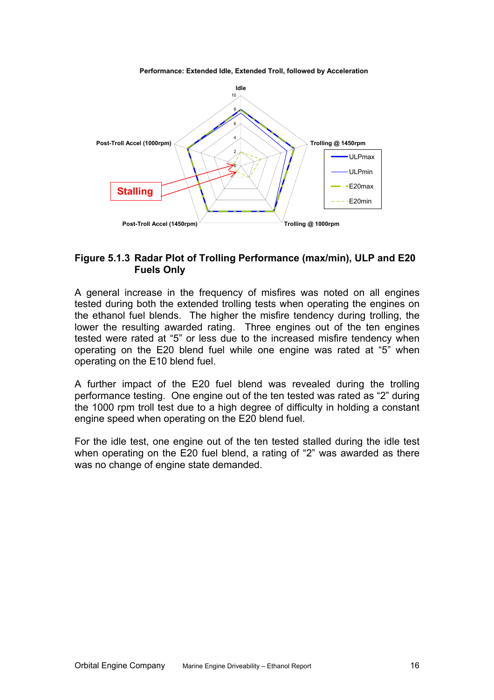0 2 4 6 8 10 **Idle Trolling @ 1450rpm Post-Troll Accel (1450rpm) Trolling @ 1000rpm Post-Troll Accel (1000rpm)** ULPmax ULPmin E20max E20min **Stalling**

**Performance: Extended Idle, Extended Troll, followed by Acceleration**

#### <span id="page-18-0"></span>**Figure 5.1.3 Radar Plot of Trolling Performance (max/min), ULP and E20 Fuels Only**

A general increase in the frequency of misfires was noted on all engines tested during both the extended trolling tests when operating the engines on the ethanol fuel blends. The higher the misfire tendency during trolling, the lower the resulting awarded rating. Three engines out of the ten engines tested were rated at "5" or less due to the increased misfire tendency when operating on the E20 blend fuel while one engine was rated at "5" when operating on the E10 blend fuel.

A further impact of the E20 fuel blend was revealed during the trolling performance testing. One engine out of the ten tested was rated as "2" during the 1000 rpm troll test due to a high degree of difficulty in holding a constant engine speed when operating on the E20 blend fuel.

For the idle test, one engine out of the ten tested stalled during the idle test when operating on the E20 fuel blend, a rating of "2" was awarded as there was no change of engine state demanded.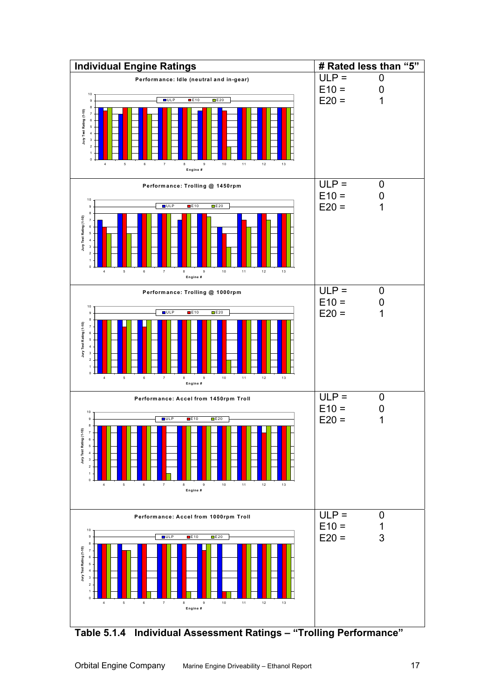

<span id="page-19-0"></span>**Table 5.1.4 Individual Assessment Ratings – "Trolling Performance"**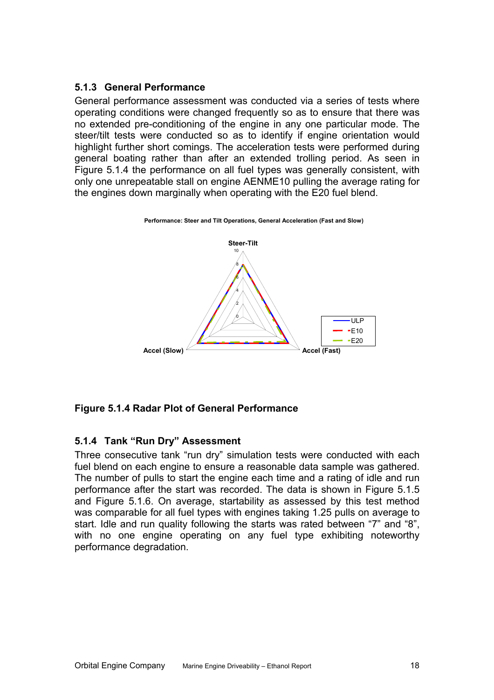#### <span id="page-20-0"></span>**5.1.3 General Performance**

General performance assessment was conducted via a series of tests where operating conditions were changed frequently so as to ensure that there was no extended pre-conditioning of the engine in any one particular mode. The steer/tilt tests were conducted so as to identify if engine orientation would highlight further short comings. The acceleration tests were performed during general boating rather than after an extended trolling period. As seen in [Figure](#page-20-1) 5.1.4 the performance on all fuel types was generally consistent, with only one unrepeatable stall on engine AENME10 pulling the average rating for the engines down marginally when operating with the E20 fuel blend.



#### **Performance: Steer and Tilt Operations, General Acceleration (Fast and Slow)**

#### <span id="page-20-1"></span>**Figure 5.1.4 Radar Plot of General Performance**

#### **5.1.4 Tank "Run Dry" Assessment**

Three consecutive tank "run dry" simulation tests were conducted with each fuel blend on each engine to ensure a reasonable data sample was gathered. The number of pulls to start the engine each time and a rating of idle and run performance after the start was recorded. The data is shown in [Figure 5.1.5](#page-21-1)  and [Figure 5.1.6.](#page-21-2) On average, startability as assessed by this test method was comparable for all fuel types with engines taking 1.25 pulls on average to start. Idle and run quality following the starts was rated between "7" and "8", with no one engine operating on any fuel type exhibiting noteworthy performance degradation.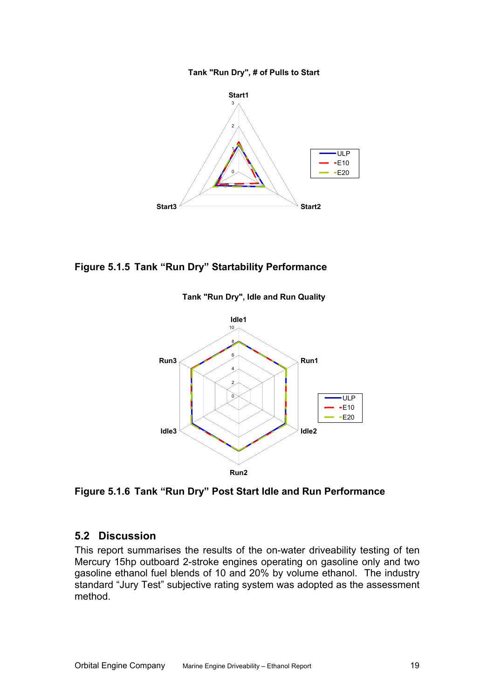

<span id="page-21-0"></span>

#### <span id="page-21-1"></span>**Figure 5.1.5 Tank "Run Dry" Startability Performance**



**Tank "Run Dry", Idle and Run Quality**

<span id="page-21-2"></span>**Figure 5.1.6 Tank "Run Dry" Post Start Idle and Run Performance** 

#### **5.2 Discussion**

This report summarises the results of the on-water driveability testing of ten Mercury 15hp outboard 2-stroke engines operating on gasoline only and two gasoline ethanol fuel blends of 10 and 20% by volume ethanol. The industry standard "Jury Test" subjective rating system was adopted as the assessment method.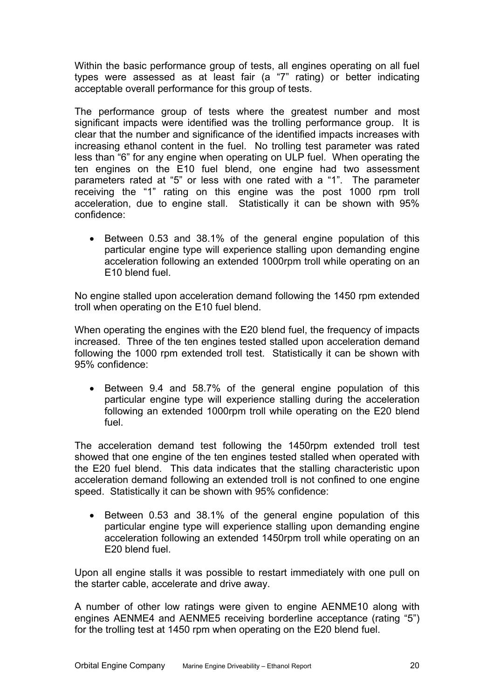Within the basic performance group of tests, all engines operating on all fuel types were assessed as at least fair (a "7" rating) or better indicating acceptable overall performance for this group of tests.

significant impacts were identified was the trolling performance group. It is clear that the number and significance of the identified impacts increases with The performance group of tests where the greatest number and most increasing ethanol content in the fuel. No trolling test parameter was rated less than "6" for any engine when operating on ULP fuel. When operating the ten engines on the E10 fuel blend, one engine had two assessment parameters rated at "5" or less with one rated with a "1". The parameter receiving the "1" rating on this engine was the post 1000 rpm troll acceleration, due to engine stall. Statistically it can be shown with 95% confidence:

particular engine type will experience stalling upon demanding engine acceleration following an extended 1000rpm troll while operating on an • Between 0.53 and 38.1% of the general engine population of this E10 blend fuel.

No en gine stalled upon acceleration demand following the 1450 rpm extended troll when operating on the E10 fuel blend.

increased. Three of the ten engines tested stalled upon acceleration demand following the 1000 rpm extended troll test. Statistically it can be shown with When operating the engines with the E20 blend fuel, the frequency of impacts 95% confidence:

particular engine type will experience stalling during the acceleration following an extended 1000rpm troll while operating on the E20 blend • Between 9.4 and 58.7% of the general engine population of this fuel.

The a cceleration demand test following the 1450rpm extended troll test showed that one engine of the ten engines tested stalled when operated with the E20 fuel blend. This data indicates that the stalling characteristic upon acceleration demand following an extended troll is not confined to one engine speed. Statistically it can be shown with 95% confidence:

particular engine type will experience stalling upon demanding engine acceleration following an extended 1450rpm troll while operating on an • Between 0.53 and 38.1% of the general engine population of this E20 blend fuel.

Upon all engine stalls it was possible to restart immediately with one pull on the starter cable, accelerate and drive away.

engines AENME4 and AENME5 receiving borderline acceptance (rating "5") for the trolling test at 1450 rpm when operating on the E20 blend fuel. A number of other low ratings were given to engine AENME10 along with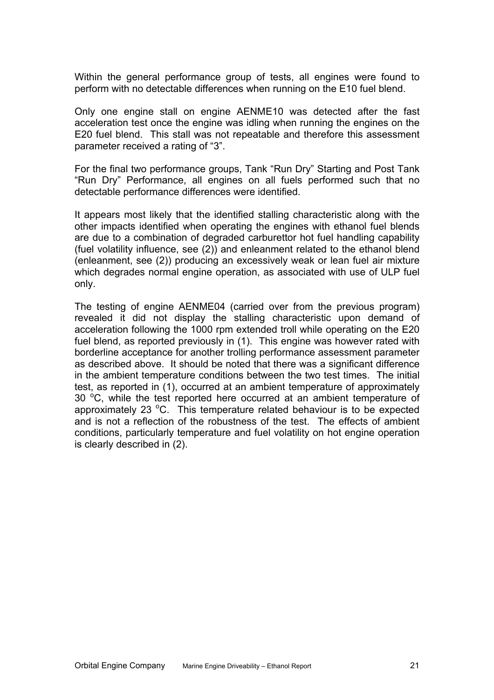Within the general performance group of tests, all engines were found to perform with no detectable differences when running on the E10 fuel blend.

acceleration test once the engine was idling when running the engines on the E20 fuel blend. This stall was not repeatable and therefore this assessment Only one engine stall on engine AENME10 was detected after the fast parameter received a rating of "3".

"Run Dry" Performance, all engines on all fuels performed such that no detectable performance differences were identified. For the final two performance groups, Tank "Run Dry" Starting and Post Tank

other impacts identified when operating the engines with ethanol fuel blends are due to a combination of degraded carburettor hot fuel handling capability It appears most likely that the identified stalling characteristic along with the (fuel volatility influence, see [\(2\)](#page-25-6)) and enleanment related to the ethanol blend (enleanment, see [\(2\)](#page-25-6)) producing an excessively weak or lean fuel air mixture which degrades normal engine operation, as associated with use of ULP fuel only.

revealed it did not display the stalling characteristic upon demand of acceleration following the 1000 rpm extended troll while operating on the E20 The testing of engine AENME04 (carried over from the previous program) fuel blend, as reported previously in [\(1](#page-25-1)). This engine was however rated with borderline acceptance for another trolling performance assessment parameter as described above. It should be noted that there was a significant difference in the ambient temperature conditions between the two test times. The initial test, as reported in [\(1\)](#page-25-1), occurred at an ambient temperature of approximately 30 °C, while the test reported here occurred at an ambient temperature of approximately 23  $^{\circ}$ C. This temperature related behaviour is to be expected and is not a reflection of the robustness of the test. The effects of ambient conditions, particularly temperature and fuel volatility on hot engine operation is clearly described in [\(2\)](#page-25-6).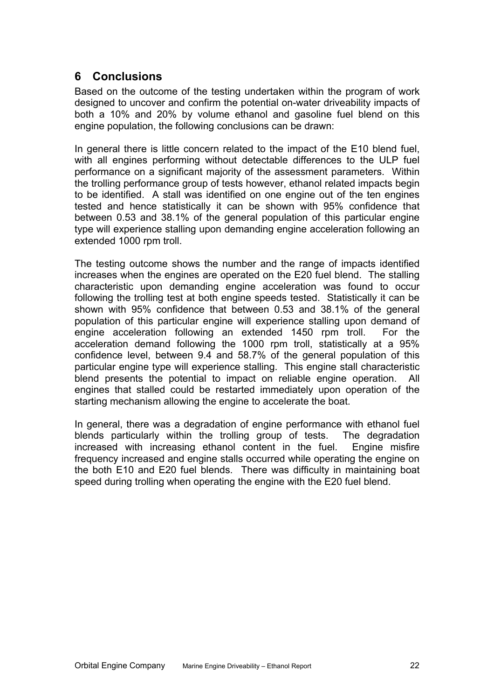## <span id="page-24-0"></span>**6 Conclusions**

Based on the outcome of the testing undertaken within the program of work designed to uncover and confirm the potential on-water driveability impacts of both a 10% and 20% by volume ethanol and gasoline fuel blend on this engine population, the following conclusions can be drawn:

In general there is little concern related to the impact of the E10 blend fuel, with all engines performing without detectable differences to the ULP fuel performance on a significant majority of the assessment parameters. Within the trolling performance group of tests however, ethanol related impacts begin to be identified. A stall was identified on one engine out of the ten engines tested and hence statistically it can be shown with 95% confidence that between 0.53 and 38.1% of the general population of this particular engine type will experience stalling upon demanding engine acceleration following an extended 1000 rpm troll.

The testing outcome shows the number and the range of impacts identified increases when the engines are operated on the E20 fuel blend. The stalling characteristic upon demanding engine acceleration was found to occur following the trolling test at both engine speeds tested. Statistically it can be shown with 95% confidence that between 0.53 and 38.1% of the general population of this particular engine will experience stalling upon demand of engine acceleration following an extended 1450 rpm troll. For the acceleration demand following the 1000 rpm troll, statistically at a 95% confidence level, between 9.4 and 58.7% of the general population of this particular engine type will experience stalling. This engine stall characteristic blend presents the potential to impact on reliable engine operation. All engines that stalled could be restarted immediately upon operation of the starting mechanism allowing the engine to accelerate the boat.

In general, there was a degradation of engine performance with ethanol fuel blends particularly within the trolling group of tests. The degradation increased with increasing ethanol content in the fuel. Engine misfire frequency increased and engine stalls occurred while operating the engine on the both E10 and E20 fuel blends. There was difficulty in maintaining boat speed during trolling when operating the engine with the E20 fuel blend.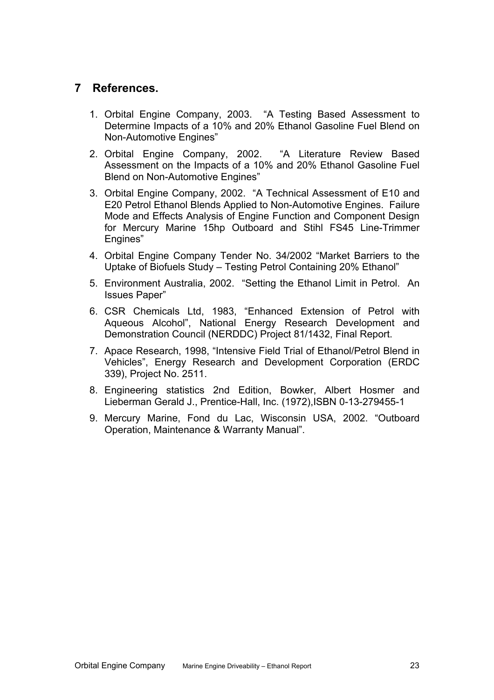## <span id="page-25-0"></span>**7 References.**

- <span id="page-25-1"></span>1. Orbital Engine Company, 2003. "A Testing Based Assessment to Determine Impacts of a 10% and 20% Ethanol Gasoline Fuel Blend on Non-Automotive Engines"
- <span id="page-25-6"></span>2. Orbital Engine Company, 2002. "A Literature Review Based Assessment on the Impacts of a 10% and 20% Ethanol Gasoline Fuel Blend on Non-Automotive Engines"
- 3. Orbital Engine Company, 2002. "A Technical Assessment of E10 and E20 Petrol Ethanol Blends Applied to Non-Automotive Engines. Failure Mode and Effects Analysis of Engine Function and Component Design for Mercury Marine 15hp Outboard and Stihl FS45 Line-Trimmer Engines"
- 4. Orbital Engine Company Tender No. 34/2002 "Market Barriers to the Uptake of Biofuels Study – Testing Petrol Containing 20% Ethanol"
- <span id="page-25-2"></span>5. Environment Australia, 2002. "Setting the Ethanol Limit in Petrol. An Issues Paper"
- <span id="page-25-3"></span>6. CSR Chemicals Ltd, 1983, "Enhanced Extension of Petrol with Aqueous Alcohol", National Energy Research Development and Demonstration Council (NERDDC) Project 81/1432, Final Report.
- <span id="page-25-4"></span>7. Apace Research, 1998, "Intensive Field Trial of Ethanol/Petrol Blend in Vehicles", Energy Research and Development Corporation (ERDC 339), Project No. 2511.
- 8. Engineering statistics 2nd Edition, Bowker, Albert Hosmer and Lieberman Gerald J., Prentice-Hall, Inc. (1972),ISBN 0-13-279455-1
- <span id="page-25-5"></span>9. Mercury Marine, Fond du Lac, Wisconsin USA, 2002. "Outboard Operation, Maintenance & Warranty Manual".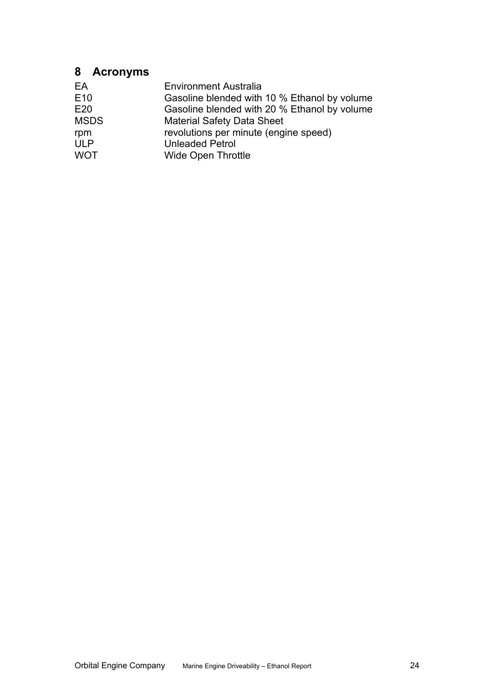## <span id="page-26-0"></span>**8 Acronyms**

| EA<br>E <sub>10</sub> | <b>Environment Australia</b><br>Gasoline blended with 10 % Ethanol by volume |
|-----------------------|------------------------------------------------------------------------------|
| E20                   | Gasoline blended with 20 % Ethanol by volume                                 |
| <b>MSDS</b>           | <b>Material Safety Data Sheet</b>                                            |
| rpm                   | revolutions per minute (engine speed)                                        |
| <b>ULP</b>            | <b>Unleaded Petrol</b>                                                       |
| <b>WOT</b>            | <b>Wide Open Throttle</b>                                                    |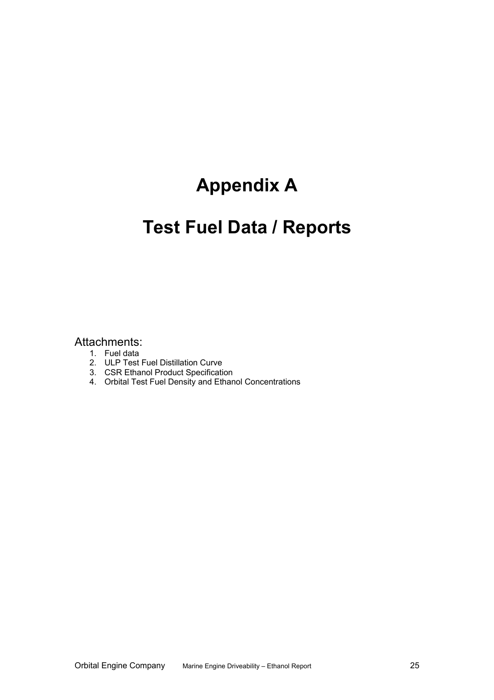# **Appendix A**

# **Test Fuel Data / Reports**

#### Attachments:

- 1. Fuel data
- 2. ULP Test Fuel Distillation Curve
- 3. CSR Ethanol Product Specification
- 4. Orbital Test Fuel Density and Ethanol Concentrations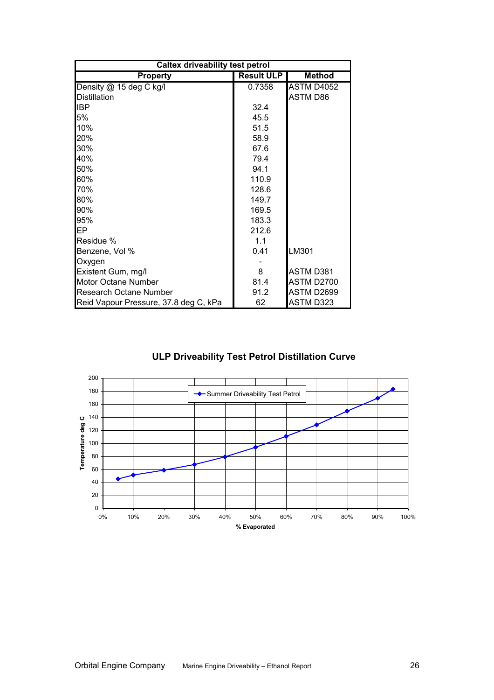| <b>Caltex driveability test petrol</b> |                   |               |  |  |  |  |  |  |  |
|----------------------------------------|-------------------|---------------|--|--|--|--|--|--|--|
| <b>Property</b>                        | <b>Result ULP</b> | <b>Method</b> |  |  |  |  |  |  |  |
| Density @ 15 deg C kg/l                | 0.7358            | ASTM D4052    |  |  |  |  |  |  |  |
| <b>Distillation</b>                    |                   | ASTM D86      |  |  |  |  |  |  |  |
| <b>IBP</b>                             | 32.4              |               |  |  |  |  |  |  |  |
| 5%                                     | 45.5              |               |  |  |  |  |  |  |  |
| 10%                                    | 51.5              |               |  |  |  |  |  |  |  |
| 20%                                    | 58.9              |               |  |  |  |  |  |  |  |
| 30%                                    | 67.6              |               |  |  |  |  |  |  |  |
| 40%                                    | 79.4              |               |  |  |  |  |  |  |  |
| 50%                                    | 94.1              |               |  |  |  |  |  |  |  |
| 60%                                    | 110.9             |               |  |  |  |  |  |  |  |
| 70%                                    | 128.6             |               |  |  |  |  |  |  |  |
| 80%                                    | 149.7             |               |  |  |  |  |  |  |  |
| 90%                                    | 169.5             |               |  |  |  |  |  |  |  |
| 95%                                    | 183.3             |               |  |  |  |  |  |  |  |
| IEP.                                   | 212.6             |               |  |  |  |  |  |  |  |
| Residue %                              | 1.1               |               |  |  |  |  |  |  |  |
| Benzene, Vol %                         | 0.41              | LM301         |  |  |  |  |  |  |  |
| Oxygen                                 |                   |               |  |  |  |  |  |  |  |
| Existent Gum, mg/l                     | 8                 | ASTM D381     |  |  |  |  |  |  |  |
| Motor Octane Number                    | 81.4              | ASTM D2700    |  |  |  |  |  |  |  |
| <b>Research Octane Number</b>          | 91.2              | ASTM D2699    |  |  |  |  |  |  |  |
| Reid Vapour Pressure, 37.8 deg C, kPa  | 62                | ASTM D323     |  |  |  |  |  |  |  |

#### **ULP Driveability Test Petrol Distillation Curve**

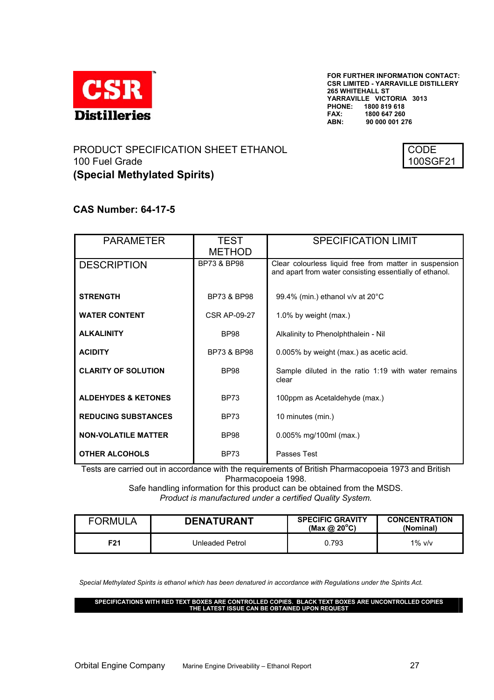

**FOR FURTHER INFORMATION CONTACT: CSR LIMITED - YARRAVILLE DISTILLERY 265 WHITEHALL ST YARRAVILLE VICTORIA 3013 PHONE: 1800 819 618 FAX: 1800 647 260 ABN: 90 000 001 276**

#### PRODUCT SPECIFICATION SHEET ETHANOL 100 Fuel Grade **(Special Methylated Spirits)**



#### **CAS Number: 64-17-5**

| <b>PARAMETER</b>               | <b>TEST</b>            | <b>SPECIFICATION LIMIT</b>                                                                                        |
|--------------------------------|------------------------|-------------------------------------------------------------------------------------------------------------------|
|                                | <b>METHOD</b>          |                                                                                                                   |
| <b>DESCRIPTION</b>             | <b>BP73 &amp; BP98</b> | Clear colourless liquid free from matter in suspension<br>and apart from water consisting essentially of ethanol. |
| <b>STRENGTH</b>                | <b>BP73 &amp; BP98</b> | 99.4% (min.) ethanol v/v at 20°C                                                                                  |
| <b>WATER CONTENT</b>           | <b>CSR AP-09-27</b>    | 1.0% by weight (max.)                                                                                             |
| <b>ALKALINITY</b>              | <b>BP98</b>            | Alkalinity to Phenolphthalein - Nil                                                                               |
| <b>ACIDITY</b>                 | <b>BP73 &amp; BP98</b> | 0.005% by weight (max.) as acetic acid.                                                                           |
| <b>CLARITY OF SOLUTION</b>     | <b>BP98</b>            | Sample diluted in the ratio 1:19 with water remains<br>clear                                                      |
| <b>ALDEHYDES &amp; KETONES</b> | <b>BP73</b>            | 100ppm as Acetaldehyde (max.)                                                                                     |
| <b>REDUCING SUBSTANCES</b>     | <b>BP73</b>            | 10 minutes (min.)                                                                                                 |
| <b>NON-VOLATILE MATTER</b>     | <b>BP98</b>            | 0.005% mg/100ml (max.)                                                                                            |
| <b>OTHER ALCOHOLS</b>          | <b>BP73</b>            | Passes Test                                                                                                       |

Tests are carried out in accordance with the requirements of British Pharmacopoeia 1973 and British Pharmacopoeia 1998.

Safe handling information for this product can be obtained from the MSDS. *Product is manufactured under a certified Quality System.* 

| <b>FORMULA</b> | <b>DENATURANT</b> | <b>SPECIFIC GRAVITY</b><br>(Max @ $20^{\circ}$ C) | <b>CONCENTRATION</b><br>(Nominal) |
|----------------|-------------------|---------------------------------------------------|-----------------------------------|
| F91            | Unleaded Petrol   | 0.793                                             | $1\%$ v/v                         |

*Special Methylated Spirits is ethanol which has been denatured in accordance with Regulations under the Spirits Act.*

**SPECIFICATIONS WITH RED TEXT BOXES ARE CONTROLLED COPIES. BLACK TEXT BOXES ARE UNCONTROLLED COPIES THE LATEST ISSUE CAN BE OBTAINED UPON REQUEST**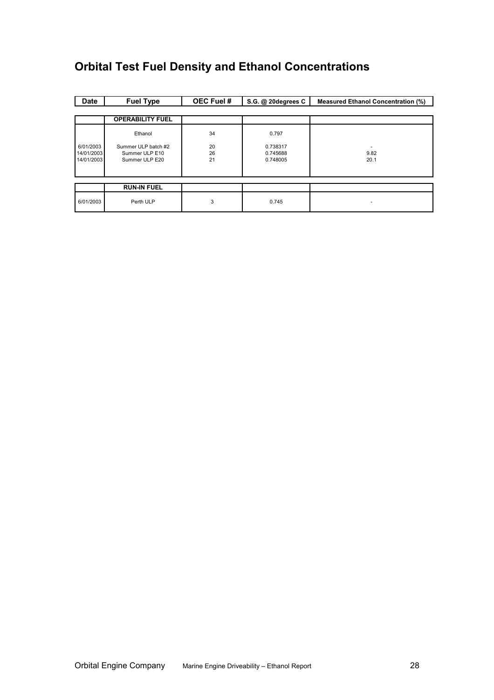## **Orbital Test Fuel Density and Ethanol Concentrations**

| <b>Date</b>              | <b>Fuel Type</b>                 | OEC Fuel # | S.G. @ 20degrees C | <b>Measured Ethanol Concentration (%)</b> |
|--------------------------|----------------------------------|------------|--------------------|-------------------------------------------|
|                          |                                  |            |                    |                                           |
|                          | <b>OPERABILITY FUEL</b>          |            |                    |                                           |
|                          | Ethanol                          | 34         | 0.797              |                                           |
| 6/01/2003                | Summer ULP batch #2              | 20         | 0.738317           |                                           |
| 14/01/2003<br>14/01/2003 | Summer ULP E10<br>Summer ULP E20 | 26<br>21   | 0.745688           | 9.82                                      |
|                          |                                  |            | 0.748005           | 20.1                                      |
|                          |                                  |            |                    |                                           |
|                          |                                  |            |                    |                                           |
|                          | <b>RUN-IN FUEL</b>               |            |                    |                                           |
| 6/01/2003                | Perth ULP                        | 3          | 0.745              |                                           |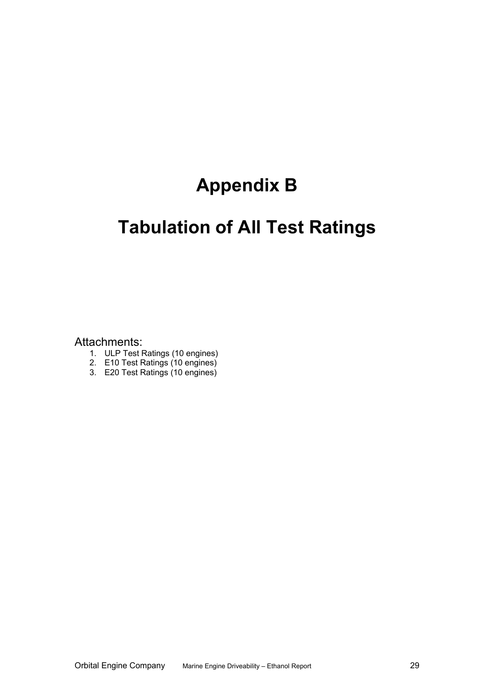# **Appendix B**

# **Tabulation of All Test Ratings**

Attachments:

- 1. ULP Test Ratings (10 engines)
- 2. E10 Test Ratings (10 engines)
- 3. E20 Test Ratings (10 engines)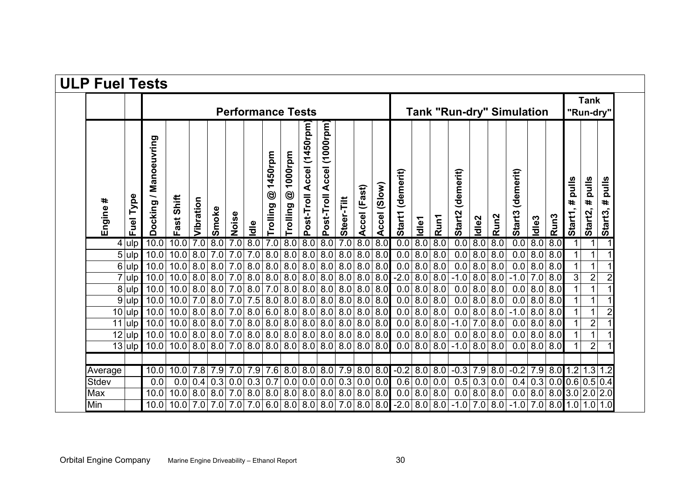| <b>ULP Fuel Tests</b> |                          |                       |                    |           |                       |       |                                            |                                       |                                       |                           |                                        |                 |              |              |                                                           |       |                   |                     |                   |                  |                     |                   |                  |                              |                         |                                  |
|-----------------------|--------------------------|-----------------------|--------------------|-----------|-----------------------|-------|--------------------------------------------|---------------------------------------|---------------------------------------|---------------------------|----------------------------------------|-----------------|--------------|--------------|-----------------------------------------------------------|-------|-------------------|---------------------|-------------------|------------------|---------------------|-------------------|------------------|------------------------------|-------------------------|----------------------------------|
|                       | <b>Performance Tests</b> |                       |                    |           |                       |       |                                            |                                       |                                       |                           | <b>Tank "Run-dry" Simulation</b>       |                 |              |              |                                                           |       |                   |                     |                   |                  | Tank<br>"Run-dry"   |                   |                  |                              |                         |                                  |
| Engine #              | Type<br>Fuel             | Docking / Manoeuvring | Fast Shift         | Vibration | Smoke                 | Noise | ldle                                       | 1450rpm<br>$\circledcirc$<br>Trolling | 1000rpm<br>$\circledcirc$<br>Trolling | Post-Troll Accel (1450rpm | $(1000$ rpm $)$<br>Accel<br>Post-Troll | Steer-Tilt      | Accel (Fast) | Accel (Slow) | (demerit)<br><b>Start1</b>                                | Idle1 | Run1              | (demerit)<br>Start2 | Idle <sub>2</sub> | Run <sub>2</sub> | (demerit)<br>Start3 | Idle <sub>3</sub> | Run <sub>3</sub> | pulls<br>Ħ.<br><b>Start1</b> | pulls<br>Ħ.<br>Start2,  | pulls<br>$\pmb{\ast}$<br>Start3, |
|                       | $4 $ ulp                 | 10.0                  | 10.0               |           | 7.0   8.0             | 7.0   | 8.0                                        | 7.0                                   | 8.0                                   | 8.0                       | $\overline{8.0}$                       | 7.0             | 8.0          | 8.0          | 0.0                                                       |       | 8.0   8.0         |                     | 0.0   8.0         | 8.0              | $\overline{0.0}$    | 8.0               | $\overline{8.0}$ | 1                            |                         |                                  |
|                       | $5 \vert$ ulp            | 10.0                  | 10.0               |           | 8.0 7.0               | 7.0   |                                            | 7.0 8.0                               | 8.0                                   | 8.0                       | 8.0                                    | 8.0             | 8.0          | 8.0          | 0.0                                                       | 8.0   | 8.0               | 0.0                 | 8.0               | 8.0              | 0.0                 | 8.0               | 8.0              | $\mathbf 1$                  |                         |                                  |
|                       | $6 $ ulp                 | 10.0                  | 10.0               |           | 8.0 8.0               | 7.0   | 8.0                                        | 8.0 8.0 8.0                           |                                       |                           |                                        | 8.0   8.0       | 8.0          | 8.0          | 0.0                                                       |       | 8.0   8.0         |                     | 0.0   8.0         | 8.0              |                     | 0.0   8.0         | 8.0              | 1                            |                         |                                  |
|                       | $7 $ ulp                 | 10.0                  | 10.0               |           | 8.0 8.0               | 7.0   |                                            | 8.0   8.0   8.0   8.0                 |                                       |                           |                                        | 8.0 8.0         | 8.0          |              | $8.0$ -2.0                                                |       | 8.0   8.0         | $-1.0$              | 8.0               | 8.0              | $-1.0$              | 7.0               | 8.0              | 3                            | $\overline{\mathbf{c}}$ |                                  |
|                       | $8$ ulp                  | 10.0                  | 10.0               |           | 8.0 8.0               | 7.0   | 8.0                                        | 7.0 8.0                               |                                       | 8.0                       |                                        | 8.0   8.0       | 8.0          | 8.0          | 0.0                                                       |       | 8.0   8.0         | 0.0                 | 8.0               | 8.0              | 0.0                 | 8.0               | 8.0              |                              |                         |                                  |
|                       | $9 $ ulp                 | 10.0                  | 10.0               | 7.0       | 8.0                   | 7.0   | 7.5                                        | 8.0   8.0                             |                                       | 8.0                       | 8.0                                    | 8.0             | 8.0          | 8.0          | 0.0                                                       | 8.0   | 8.0               | 0.0                 | 8.0               | 8.0              | 0.0                 | 8.0               | 8.0              |                              |                         |                                  |
|                       | $10$ ulp                 | 10.0                  | 10.0               |           | 8.0   8.0             | 7.0   |                                            | 8.0 6.0 8.0 8.0                       |                                       |                           |                                        | 8.0 8.0 8.0     |              | 8.0          | 0.0                                                       |       | 8.0 8.0           | 0.0                 | 8.0               | 8.0              | $-1.0$              | 8.0               | 8.0              | 1                            |                         | $\overline{2}$                   |
|                       | $11$ ulp                 | 10.0                  | 10.0               |           | 8.0 8.0 7.0           |       | 8.0                                        | 8.0 8.0 8.0                           |                                       |                           |                                        | 8.0 8.0         | 8.0          | 8.0          | 0.0                                                       |       | 8.0 8.0           | $-1.0$              | 7.0               | 8.0              | 0.0                 | 8.0               | 8.0              |                              | $\overline{2}$          |                                  |
|                       | $12$ ulp                 | 10.0                  | 10.0               |           | 8.0 8.0               | 7.0   | 8.0                                        | 8.0   8.0   8.0                       |                                       |                           |                                        | 8.0   8.0   8.0 |              | 8.0          | 0.0                                                       | 8.0   | 8.0               | 0.0                 | 8.0               | 8.0              | 0.0                 | 8.0               | 8.0              | 1                            |                         |                                  |
|                       | $13$ ulp                 | 10.0                  | $10.0$   8.0   8.0 |           |                       |       | $7.0 8.0 8.0 8.0 8.0 8.0 8.0 8.0 8.0 8.0 $ |                                       |                                       |                           |                                        |                 |              |              |                                                           |       | $0.0$   8.0   8.0 | $-1.0$ 8.0 8.0      |                   |                  |                     | 0.0 8.0           | 8.0              |                              | $\overline{2}$          |                                  |
| Average               |                          | 10.0                  | 10.0               | 7.8       | 7.9                   | 7.0   |                                            | $7.9$ 7.6 8.0 8.0                     |                                       |                           |                                        | 8.0 7.9         | 8.0          |              | $8.0 - 0.2$                                               |       | 8.0 8.0           | $-0.3$              | 7.9               | 8.0              | $-0.2$              | 7.9               | 8.0              | 1.2                          | 1.3 1.2                 |                                  |
| <b>Stdev</b>          |                          | 0.0                   | 0.0                | 0.4       | 0.3                   | 0.0   | 0.3                                        | 0.7                                   | 0.0                                   | 0.0                       | 0.0                                    | 0.3             | 0.0          | 0.0          | 0.6                                                       |       | 0.0 0.0           | 0.5                 | 0.3               | 0.0              | 0.4                 | 0.3               |                  | $0.0$ 0.6 0.5 0.4            |                         |                                  |
| Max                   |                          | 10.0                  | 10.0               |           | 8.0 8.0               | 7.0   | 8.0                                        | 8.0   8.0   8.0                       |                                       |                           |                                        | 8.0   8.0   8.0 |              | 8.0          | 0.0                                                       |       | 8.0   8.0         | 0.0                 | 8.0               | 8.0              |                     | 0.0   8.0         |                  | 8.0 3.0 2.0 2.0              |                         |                                  |
| Min                   |                          | 10.0                  | 10.0               |           | $7.0$   $7.0$   $7.0$ |       |                                            |                                       |                                       |                           |                                        |                 |              |              | 7.0 6.0 8.0 8.0 8.0 7.0 8.0 8.0 -2.0 8.0 8.0 -1.0 7.0 8.0 |       |                   |                     |                   |                  | $-1.0$              |                   |                  | $7.0$ 8.0 1.0 1.0 1.0        |                         |                                  |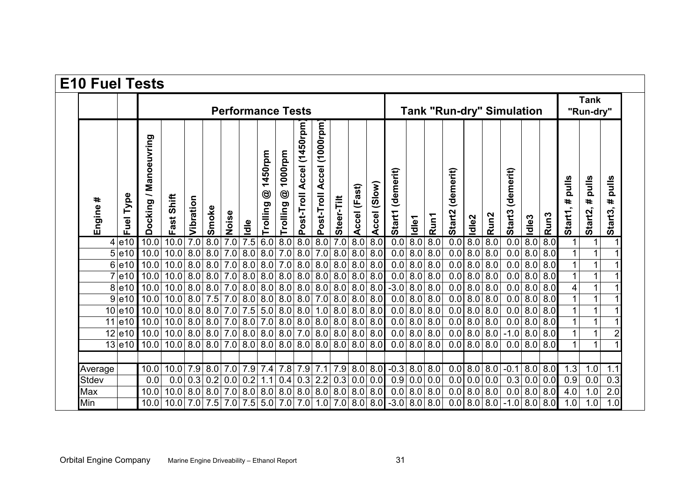|             |              |                       | <b>Performance Tests</b> |           |           |       |                                            |                                       |                                    |                               |                                               |                  |                  |                       |                                                      |       | <b>Tank "Run-dry" Simulation</b> |                     |                       |                  |                                      |                   |                  |                      |                       | <b>Tank</b><br>"Run-dry" |  |  |
|-------------|--------------|-----------------------|--------------------------|-----------|-----------|-------|--------------------------------------------|---------------------------------------|------------------------------------|-------------------------------|-----------------------------------------------|------------------|------------------|-----------------------|------------------------------------------------------|-------|----------------------------------|---------------------|-----------------------|------------------|--------------------------------------|-------------------|------------------|----------------------|-----------------------|--------------------------|--|--|
| #<br>Engine | Type<br>Fuel | Docking / Manoeuvring | Shift<br>ast<br>ய        | Vibration | Smoke     | Noise | ldle                                       | 1450rpm<br>$\circledcirc$<br>Trolling | 1000rpm<br>$\circledS$<br>Trolling | Accel (1450rpm)<br>Post-Troll | $(1000$ rpm $)$<br><b>Accel</b><br>Post-Troll | Steer-Tilt       | ccel (Fast)<br>⋖ | (Slow)<br>Leccel<br>⋖ | Start1 (demerit)                                     | Idle1 | Run1                             | (demerit)<br>Start2 | Idle <sub>2</sub>     | Run <sub>2</sub> | (demerit)<br>Start3                  | Idle <sub>3</sub> | Run <sub>3</sub> | pulls<br>#<br>Start1 | pulls<br>#<br>Start2, | pulls<br>#<br>Start3,    |  |  |
|             | $4$ e10      | 10.0                  | 10.0                     | 7.0       | 8.0       | 7.0   | 7.5                                        | 6.0                                   | 8.0                                |                               | 8.0   8.0                                     | $\overline{7.0}$ | 8.0              | $\overline{8.0}$      | $\overline{0.0}$                                     | 0.8   | 8.0                              | 0.0                 | $\overline{\text{8}}$ | 8.0              | 0.0                                  | $\overline{8.0}$  | 8.0              |                      | 1                     |                          |  |  |
|             | 5 e10        | 10.0                  | 10.0                     | 8.0       | 8.0       | 7.0   | 8.0                                        | 8.0                                   | $7.0\,$                            | 8.0                           | 7.0 8.0                                       |                  | 8.0              | 8.0                   | 0.0                                                  | 8.0   | 8.0                              | 0.0                 | 8.0                   | 8.0              | 0.0                                  | 8.0               | 8.0              |                      | 1                     |                          |  |  |
|             | $6$  e10     | 10.0                  | 10.0                     | 8.0       | 8.0       | 7.0   | 8.0                                        | 8.0                                   | 7.0                                | 8.0                           | 8.0 8.0                                       |                  | 8.0              | 8.0                   | 0.0                                                  | 8.0   | 8.0                              | 0.0                 | 8.0                   | 8.0              | 0.0                                  | 8.0               | 8.0              |                      |                       |                          |  |  |
|             | $7$ e10      | 10.0                  | 10.0                     | 8.0       | 8.0       | 7.0   | 8.0                                        | 8.0                                   | 8.0                                | 8.0                           | 8.0   8.0                                     |                  | 8.0              | 8.0                   | 0.0                                                  | 8.0   | 8.0                              | 0.0                 | 8.0                   | 8.0              | 0.0                                  | 8.0               | 8.0              |                      | 1                     |                          |  |  |
|             | $8$ e10      | 10.0                  | 10.0 8.0                 |           | 8.0       |       | $7.0$ 8.0 8.0                              |                                       | 8.0                                |                               | 8.0   8.0   8.0                               |                  | 8.0              | 8.0                   | $-3.0$                                               | 8.0   | 8.0                              | 0.0 8.0             |                       | 8.0              |                                      | $0.0$ 8.0 8.0     |                  | 4                    |                       |                          |  |  |
|             | $9$ e10      | 10.0                  | 10.0                     | 8.0       | 7.5       | 7.0   | 8.0                                        | 8.0                                   | 8.0                                | 8.0                           | 7.0 8.0                                       |                  | 8.0              | 8.0                   | 0.0                                                  | 8.0   | 8.0                              | 0.0                 | 8.0                   | 8.0              | 0.0                                  | 8.0               | 8.0              |                      | $\mathbf{1}$          |                          |  |  |
|             | $10$ e10     | 10.0                  | 10.0                     | 8.0       | 8.0       | 7.0   | 7.5                                        | 5.0                                   | 8.0                                |                               | $8.0$ 1.0 $8.0$                               |                  | 8.0              | 8.0                   | 0.0                                                  | 8.0   | 8.0                              | 0.0                 | 8.0                   | 8.0              |                                      | 0.0   8.0         | 8.0              |                      |                       |                          |  |  |
|             | $11$ e10     | 10.0                  | 10.0                     | 8.0       | 8.0       | 7.0   | 8.0                                        | 7.0                                   | 8.0                                | 8.0                           | 8.0   8.0                                     |                  |                  | 8.0   8.0             | 0.0                                                  | 8.0   | 8.0                              | 0.0                 | 8.0                   | 8.0              | 0.0                                  |                   | 8.0   8.0        |                      | $\mathbf{1}$          |                          |  |  |
|             | $12$ e10     | 10.0                  | 10.0                     |           | 8.0 8.0   |       | 7.0 8.0 8.0 8.0 7.0 8.0 8.0                |                                       |                                    |                               |                                               |                  |                  | 8.0   8.0             | 0.0                                                  | 8.0   | 8.0                              | 0.0   8.0           |                       | 8.0              | $-1.0$ 8.0 8.0                       |                   |                  |                      | $\mathbf{1}$          |                          |  |  |
|             | $13$ e10     | 10.0                  | 10.0 8.0 8.0             |           |           |       | $7.0 8.0 8.0 8.0 8.0 8.0 8.0 8.0 8.0 8.0 $ |                                       |                                    |                               |                                               |                  |                  |                       | 0.0                                                  |       | 8.0   8.0                        | $0.0$ 8.0 8.0       |                       |                  |                                      | $0.0$ 8.0 8.0     |                  |                      | 1                     |                          |  |  |
| Average     |              | 10.0                  | 10.0                     |           | 7.9 8.0   |       | $7.0$ 7.9 $7.4$                            |                                       |                                    |                               | $7.8$ 7.9 $7.1$ 7.9                           |                  |                  |                       | $ 8.0 8.0 $ -0.3                                     |       | $\overline{8.0}$   8.0           | $0.0$ 8.0 8.0       |                       |                  | $-0.1$                               |                   | 8.0 8.0          | 1.3                  | 1.0                   | 1.1                      |  |  |
| Stdev       |              | 0.0                   | 0.0                      | 0.3       | 0.2       | 0.0   | 0.2                                        | 1.1                                   | 0.4                                | 0.3                           | 2.2                                           | 0.3              | 0.0              | 0.0                   | 0.9                                                  | 0.0   | 0.0                              | 0.0                 | 0.0                   | 0.0              | 0.3                                  | 0.0               | 0.0              | 0.9                  | 0.0                   | 0.3                      |  |  |
| Max         |              | 10.0                  | 10.0                     |           | 8.0   8.0 |       | $7.0$ 8.0 8.0                              |                                       | 8.0                                |                               | 8.0 8.0 8.0 8.0 8.0                           |                  |                  |                       | 0.0                                                  | 8.0   | 8.0                              | 0.0                 | 8.0                   | 8.0              |                                      |                   | $0.0$ 8.0 8.0    | 4.0                  | 1.0                   | 2.0                      |  |  |
| Min         |              | 10.0                  | $10.0$ 7.0 7.5           |           |           |       |                                            |                                       |                                    |                               |                                               |                  |                  |                       | $ 7.0 7.5 5.0 7.0 7.0 1.0 7.0 8.0 8.0 $ -3.0 8.0 8.0 |       |                                  |                     |                       |                  | $0.0   8.0   8.0   -1.0   8.0   8.0$ |                   |                  | 1.0                  | 1.0                   | 1.0                      |  |  |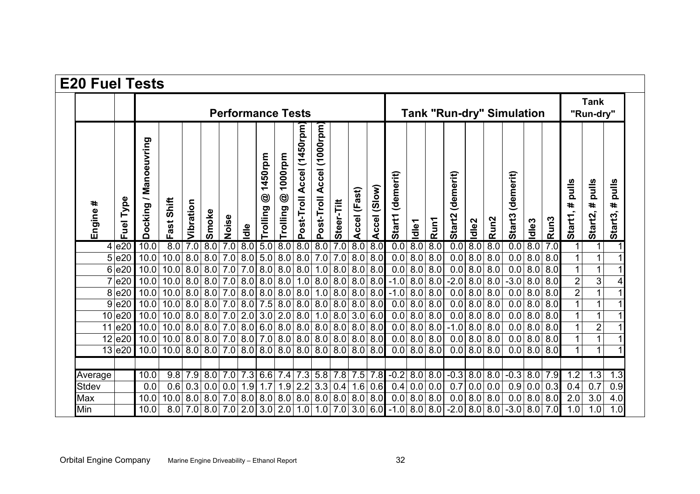| <b>E20 Fuel Tests</b> |              |                          |                                                         |             |           |                        |            |                          |                                    |                               |                                        |                      |               |                                  |                                                                                |                   |            |                     |                   |                  |                     |                   |                  |                          |                       |                                                                   |
|-----------------------|--------------|--------------------------|---------------------------------------------------------|-------------|-----------|------------------------|------------|--------------------------|------------------------------------|-------------------------------|----------------------------------------|----------------------|---------------|----------------------------------|--------------------------------------------------------------------------------|-------------------|------------|---------------------|-------------------|------------------|---------------------|-------------------|------------------|--------------------------|-----------------------|-------------------------------------------------------------------|
|                       |              | <b>Performance Tests</b> |                                                         |             |           |                        |            |                          |                                    |                               |                                        |                      |               | <b>Tank "Run-dry" Simulation</b> |                                                                                |                   |            |                     |                   |                  |                     |                   |                  | <b>Tank</b><br>"Run-dry" |                       |                                                                   |
| ∗<br>Engine           | Type<br>Fuel | Manoeuvring<br>Docking/  | Shift<br>Fast                                           | Vibration   | Smoke     | Noise                  | ldle       | 1450rpm<br>☺<br>Trolling | 1000rpm<br>$\circledS$<br>Trolling | Accel (1450rpm)<br>Post-Troll | $(1000$ rpm $)$<br>Accel<br>Post-Troll | Steer-Tilt           | Accel (Fast)  | Accel (Slow)                     | (demerit)<br><b>Start1</b>                                                     | Idle1             | Run1       | (demerit)<br>Start2 | Idle <sub>2</sub> | Run <sub>2</sub> | (demerit)<br>Start3 | Idle <sub>3</sub> | Run <sub>3</sub> | pulls<br>#<br>Start1,    | pulls<br>#<br>Start2, | <b>S</b><br>$\ddot{\bar{\mathbf{z}}}$<br>$\Omega$<br>#<br>Start3, |
|                       | 4 e20        | 10.0                     | 8.0                                                     | 7.0         |           | 8.0 7.0                | 8.0        | 5.0   8.0                |                                    | $\overline{8.0}$              | $\overline{8.0}$                       | 7.0                  | 0.8           | 8.0                              | 0.0                                                                            | 0.8               | 8.0        | 0.0                 | 8.0               | 8.0              | 0.0                 | 8.0               | 7.0              |                          |                       |                                                                   |
|                       | $5$ e20      | 10.0                     | 10.0                                                    | 8.0         | 8.0 7.0   |                        | 8.0        | 5.0   8.0                |                                    | 8.0                           |                                        | $7.0$ 7.0            | 8.0           | 8.0                              | 0.0                                                                            | 8.0               | 8.0        | 0.0                 | 8.0               | 8.0              | 0.0                 | 8.0               | 8.0              |                          |                       |                                                                   |
| 6                     | e20          | 10.0                     | 10.0                                                    | 8.0         | 8.0 7.0   |                        | 7.0        | 8.0   8.0                |                                    | 8.0                           |                                        | 1.0 8.0              | 8.0           | 8.0                              | 0.0                                                                            | 8.0               | 8.0        | 0.0                 | 8.0               | 8.0              | 0.0                 | 8.0               | 8.0              |                          |                       |                                                                   |
|                       | e20          | 10.0                     | 10.0                                                    | 8.0         | $8.0$ 7.0 |                        | 8.0        | 8.0   8.0                |                                    | 1.0                           |                                        | 8.0   8.0            | 8.0           | 8.0                              | $-1.0$                                                                         | 8.0               | 8.0        | $-2.0$              | 8.0               | 8.0              | $-3.0$              | 8.0               | 8.0              | $\overline{2}$           | 3                     |                                                                   |
| 8                     | e20          | 10.0                     | 10.0                                                    | 8.0         | $8.0$ 7.0 |                        | 8.0        | 8.0   8.0                |                                    | 8.0                           |                                        | 1.0 8.0              | 8.0           | 8.0                              | $-1.0$                                                                         | 8.0               | 8.0        | 0.0                 | 8.0               | 8.0              | 0.0                 | 8.0               | 8.0              | $\overline{2}$           |                       |                                                                   |
| 9                     | e20          | 10.0                     | 10.0                                                    | 8.0         |           | $8.0$ 7.0              | 8.0        | 7.5                      | 8.0                                | 8.0                           | 8.0                                    | 8.0                  | 8.0           | 8.0                              | 0.0                                                                            | 8.0               | 8.0        | 0.0                 | 8.0               | 8.0              | 0.0                 | 8.0               | 8.0              |                          |                       |                                                                   |
| 10<br>11              | e20          | 10.0                     | 10.0 8.0                                                |             | 8.0 7.0   |                        | 2.0        | $3.0$ 2.0                |                                    | 8.0                           |                                        | 1.0 8.0              |               | 3.0 6.0                          | 0.0                                                                            | 8.0               | 8.0        | 0.0                 | 8.0               | 8.0              | 0.0                 | 8.0               | 8.0              |                          | $\overline{2}$        |                                                                   |
| 12                    | e20<br> e20  | 10.0<br>10.0             | 10.0<br>10.0 8.0                                        | 8.0         | $8.0$ 7.0 | $\overline{8.0}$   7.0 | 8.0<br>8.0 | 6.0   8.0<br>7.0 8.0     |                                    | 8.0<br>8.0                    |                                        | 8.0   8.0<br>8.0 8.0 | 8.0<br>8.0    | 8.0<br>8.0                       | 0.0<br>0.0                                                                     | 8.0<br>8.0        | 8.0<br>8.0 | $-1.0$<br>0.0       | 8.0<br>8.0        | 8.0<br>8.0       | 0.0<br>0.0          | 8.0<br>8.0        | 8.0<br>8.0       |                          |                       |                                                                   |
|                       | $13$ e20     | 10.0                     | $10.0 8.0 8.0 7.0 8.0 8.0 8.0 8.0 8.0 8.0 8.0 8.0 8.0 $ |             |           |                        |            |                          |                                    |                               |                                        |                      |               |                                  |                                                                                | $0.0$   8.0   8.0 |            | 0.0                 | 8.0 8.0           |                  |                     | $0.0$ 8.0 8.0     |                  |                          |                       |                                                                   |
|                       |              |                          |                                                         |             |           |                        |            |                          |                                    |                               |                                        |                      |               |                                  |                                                                                |                   |            |                     |                   |                  |                     |                   |                  |                          |                       |                                                                   |
| Average               |              | 10.0                     | 9.8                                                     | 7.9         |           | 8.0 7.0                | 7.3        |                          |                                    | $6.6$ 7.4 7.3                 |                                        |                      | $5.8$ 7.8 7.5 | 7.8                              | $-0.2$ 8.0                                                                     |                   | 8.0        | $-0.3$              | 8.0   8.0         |                  | $-0.3$ 8.0 $7.9$    |                   |                  | 1.2                      | 1.3                   | 1.3                                                               |
| <b>Stdev</b>          |              | 0.0                      | 0.6                                                     | 0.3         | 0.0       | 0.0                    | 1.9        | 1.7                      | 1.9                                | 2.2                           | 3.3                                    | 0.4                  | 1.6           | 0.6                              | 0.4                                                                            | 0.0               | 0.0        | 0.7                 | 0.0               | 0.0              | 0.9                 | 0.0               | 0.3              | 0.4                      | 0.7                   | 0.9                                                               |
| Max                   |              | 10.0                     | 10.0 8.0                                                |             |           | 8.0 7.0                | 8.0        | 8.0   8.0                |                                    |                               |                                        | 8.0   8.0   8.0      | 8.0           | 8.0                              | 0.0                                                                            | 8.0 8.0           |            | 0.0                 | 8.0               | 8.0              | 0.0                 | 8.0               | 8.0              | 2.0                      | 3.0                   | 4.0                                                               |
| Min                   |              | 10.0                     |                                                         | $8.0$   7.0 |           |                        |            |                          |                                    |                               |                                        |                      |               |                                  | $8.0$   7.0   2.0   3.0   2.0   1.0   1.0   7.0   3.0   6.0   -1.0   8.0   8.0 |                   |            | $-2.0$              |                   | 8.0 8.0          | $-3.0$ 8.0 7.0      |                   |                  | 1.0                      | 1.0                   | 1.0 <sub>l</sub>                                                  |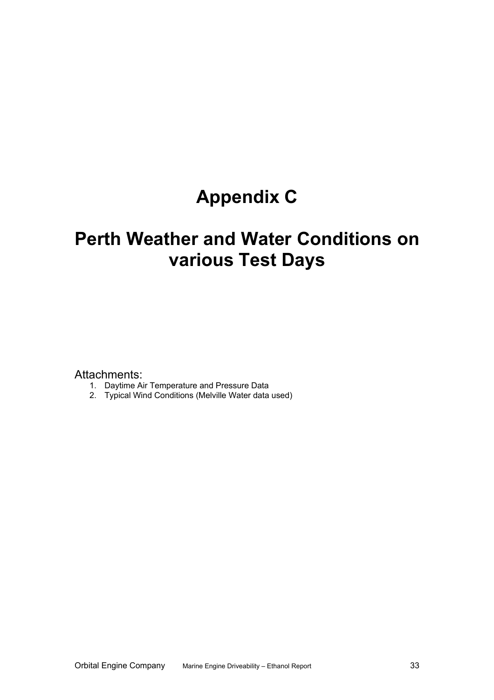# **Appendix C**

# **Perth Weather and Water Conditions on various Test Days**

Attachments:

- 1. Daytime Air Temperature and Pressure Data
- 2. Typical Wind Conditions (Melville Water data used)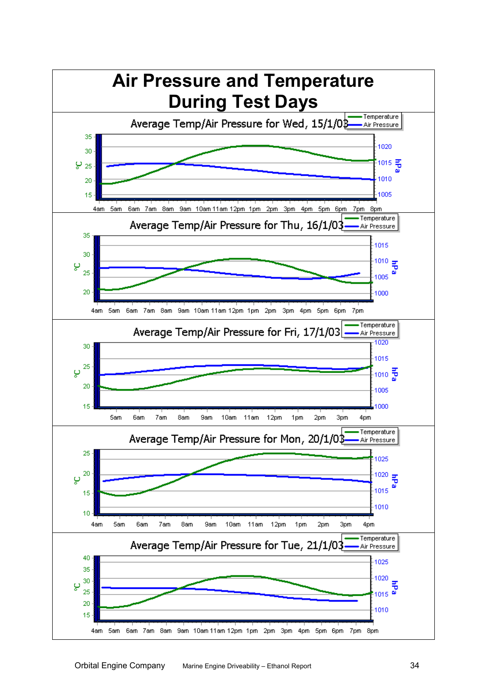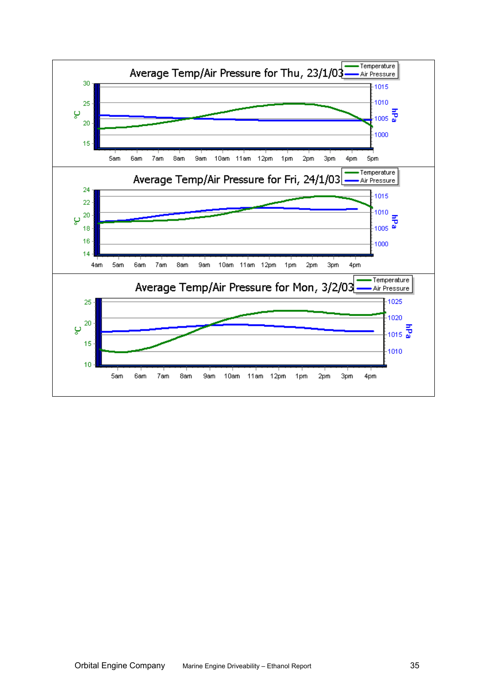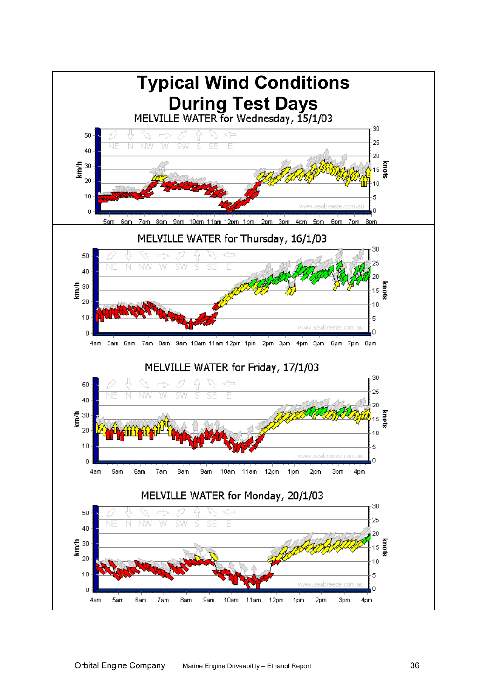